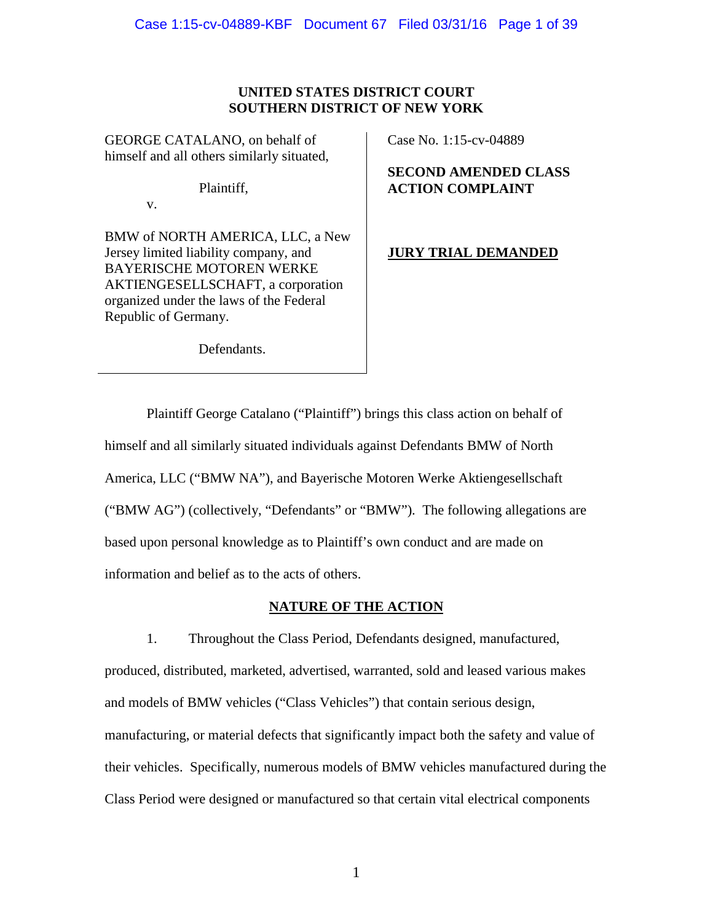## **UNITED STATES DISTRICT COURT SOUTHERN DISTRICT OF NEW YORK**

GEORGE CATALANO, on behalf of himself and all others similarly situated,

Plaintiff,

v.

BMW of NORTH AMERICA, LLC, a New Jersey limited liability company, and BAYERISCHE MOTOREN WERKE AKTIENGESELLSCHAFT, a corporation organized under the laws of the Federal Republic of Germany.

Case No. 1:15-cv-04889

# **SECOND AMENDED CLASS ACTION COMPLAINT**

# **JURY TRIAL DEMANDED**

Defendants.

Plaintiff George Catalano ("Plaintiff") brings this class action on behalf of himself and all similarly situated individuals against Defendants BMW of North America, LLC ("BMW NA"), and Bayerische Motoren Werke Aktiengesellschaft ("BMW AG") (collectively, "Defendants" or "BMW"). The following allegations are based upon personal knowledge as to Plaintiff's own conduct and are made on information and belief as to the acts of others.

## **NATURE OF THE ACTION**

1. Throughout the Class Period, Defendants designed, manufactured, produced, distributed, marketed, advertised, warranted, sold and leased various makes and models of BMW vehicles ("Class Vehicles") that contain serious design, manufacturing, or material defects that significantly impact both the safety and value of their vehicles. Specifically, numerous models of BMW vehicles manufactured during the Class Period were designed or manufactured so that certain vital electrical components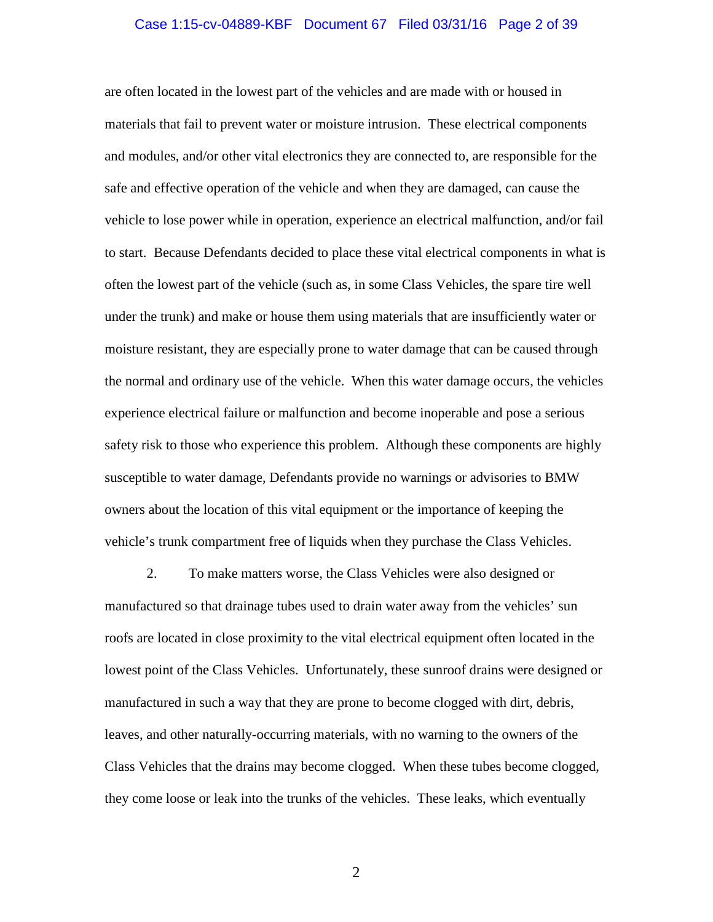#### Case 1:15-cv-04889-KBF Document 67 Filed 03/31/16 Page 2 of 39

are often located in the lowest part of the vehicles and are made with or housed in materials that fail to prevent water or moisture intrusion. These electrical components and modules, and/or other vital electronics they are connected to, are responsible for the safe and effective operation of the vehicle and when they are damaged, can cause the vehicle to lose power while in operation, experience an electrical malfunction, and/or fail to start. Because Defendants decided to place these vital electrical components in what is often the lowest part of the vehicle (such as, in some Class Vehicles, the spare tire well under the trunk) and make or house them using materials that are insufficiently water or moisture resistant, they are especially prone to water damage that can be caused through the normal and ordinary use of the vehicle. When this water damage occurs, the vehicles experience electrical failure or malfunction and become inoperable and pose a serious safety risk to those who experience this problem. Although these components are highly susceptible to water damage, Defendants provide no warnings or advisories to BMW owners about the location of this vital equipment or the importance of keeping the vehicle's trunk compartment free of liquids when they purchase the Class Vehicles.

2. To make matters worse, the Class Vehicles were also designed or manufactured so that drainage tubes used to drain water away from the vehicles' sun roofs are located in close proximity to the vital electrical equipment often located in the lowest point of the Class Vehicles. Unfortunately, these sunroof drains were designed or manufactured in such a way that they are prone to become clogged with dirt, debris, leaves, and other naturally-occurring materials, with no warning to the owners of the Class Vehicles that the drains may become clogged. When these tubes become clogged, they come loose or leak into the trunks of the vehicles. These leaks, which eventually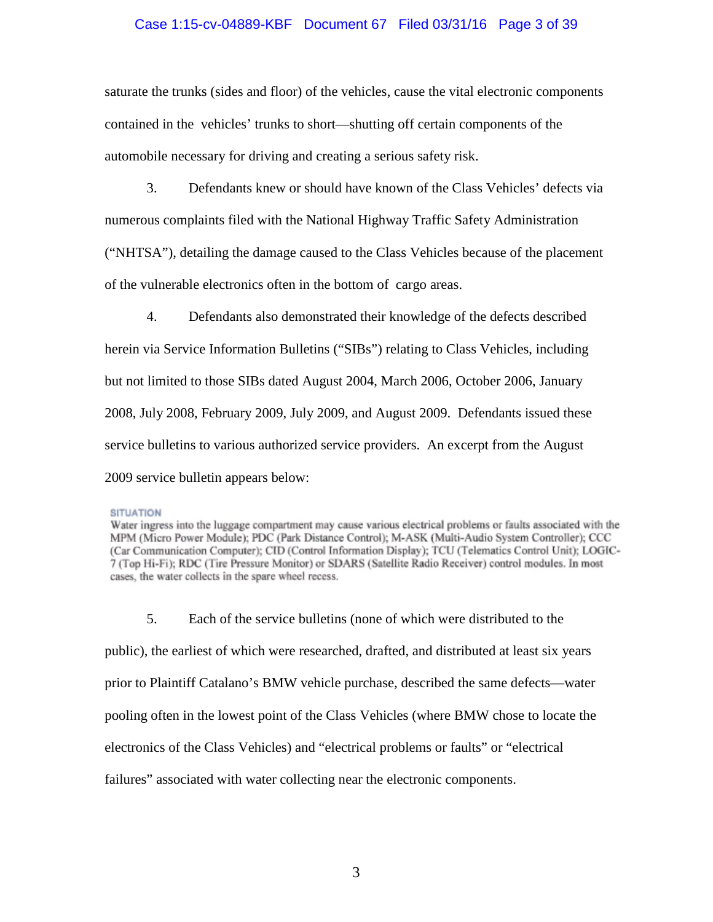## Case 1:15-cv-04889-KBF Document 67 Filed 03/31/16 Page 3 of 39

saturate the trunks (sides and floor) of the vehicles, cause the vital electronic components contained in the vehicles' trunks to short—shutting off certain components of the automobile necessary for driving and creating a serious safety risk.

3. Defendants knew or should have known of the Class Vehicles' defects via numerous complaints filed with the National Highway Traffic Safety Administration ("NHTSA"), detailing the damage caused to the Class Vehicles because of the placement of the vulnerable electronics often in the bottom of cargo areas.

4. Defendants also demonstrated their knowledge of the defects described herein via Service Information Bulletins ("SIBs") relating to Class Vehicles, including but not limited to those SIBs dated August 2004, March 2006, October 2006, January 2008, July 2008, February 2009, July 2009, and August 2009. Defendants issued these service bulletins to various authorized service providers. An excerpt from the August 2009 service bulletin appears below:

#### **SITUATION**

Water ingress into the luggage compartment may cause various electrical problems or faults associated with the MPM (Micro Power Module); PDC (Park Distance Control); M-ASK (Multi-Audio System Controller); CCC (Car Communication Computer); CID (Control Information Display); TCU (Telematics Control Unit); LOGIC-7 (Top Hi-Fi); RDC (Tire Pressure Monitor) or SDARS (Satellite Radio Receiver) control modules. In most cases, the water collects in the spare wheel recess.

5. Each of the service bulletins (none of which were distributed to the public), the earliest of which were researched, drafted, and distributed at least six years

prior to Plaintiff Catalano's BMW vehicle purchase, described the same defects—water

pooling often in the lowest point of the Class Vehicles (where BMW chose to locate the

electronics of the Class Vehicles) and "electrical problems or faults" or "electrical

failures" associated with water collecting near the electronic components.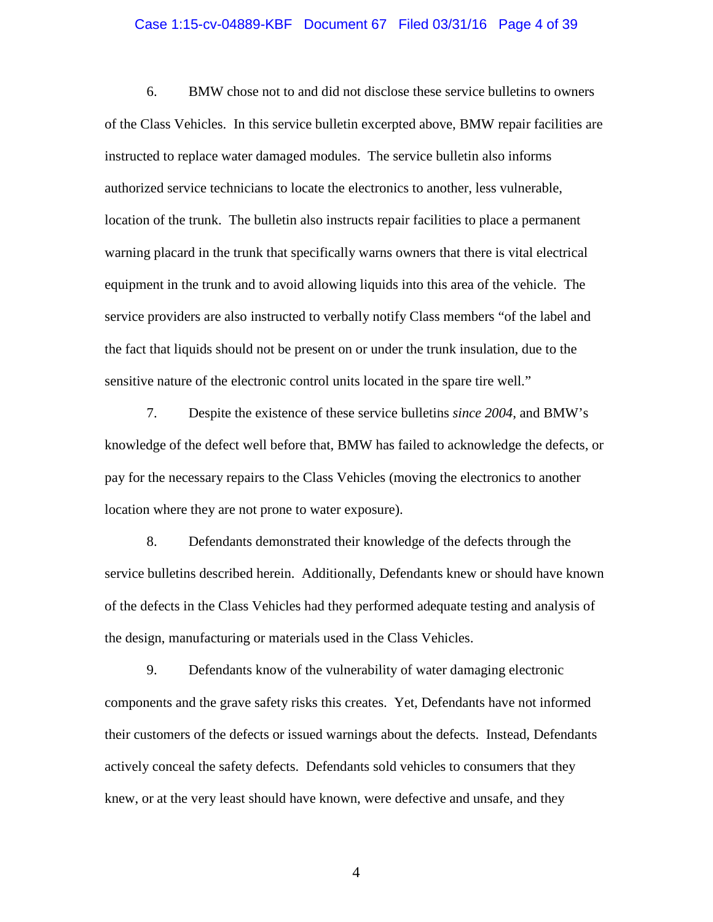#### Case 1:15-cv-04889-KBF Document 67 Filed 03/31/16 Page 4 of 39

6. BMW chose not to and did not disclose these service bulletins to owners of the Class Vehicles. In this service bulletin excerpted above, BMW repair facilities are instructed to replace water damaged modules. The service bulletin also informs authorized service technicians to locate the electronics to another, less vulnerable, location of the trunk. The bulletin also instructs repair facilities to place a permanent warning placard in the trunk that specifically warns owners that there is vital electrical equipment in the trunk and to avoid allowing liquids into this area of the vehicle. The service providers are also instructed to verbally notify Class members "of the label and the fact that liquids should not be present on or under the trunk insulation, due to the sensitive nature of the electronic control units located in the spare tire well."

7. Despite the existence of these service bulletins *since 2004*, and BMW's knowledge of the defect well before that, BMW has failed to acknowledge the defects, or pay for the necessary repairs to the Class Vehicles (moving the electronics to another location where they are not prone to water exposure).

8. Defendants demonstrated their knowledge of the defects through the service bulletins described herein. Additionally, Defendants knew or should have known of the defects in the Class Vehicles had they performed adequate testing and analysis of the design, manufacturing or materials used in the Class Vehicles.

9. Defendants know of the vulnerability of water damaging electronic components and the grave safety risks this creates. Yet, Defendants have not informed their customers of the defects or issued warnings about the defects. Instead, Defendants actively conceal the safety defects. Defendants sold vehicles to consumers that they knew, or at the very least should have known, were defective and unsafe, and they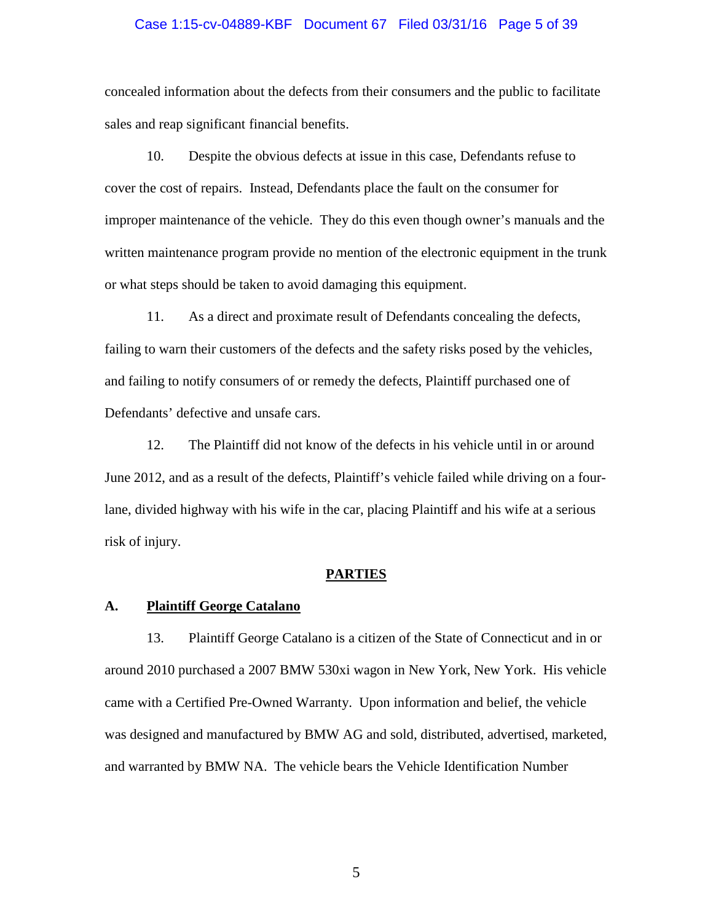#### Case 1:15-cv-04889-KBF Document 67 Filed 03/31/16 Page 5 of 39

concealed information about the defects from their consumers and the public to facilitate sales and reap significant financial benefits.

10. Despite the obvious defects at issue in this case, Defendants refuse to cover the cost of repairs. Instead, Defendants place the fault on the consumer for improper maintenance of the vehicle. They do this even though owner's manuals and the written maintenance program provide no mention of the electronic equipment in the trunk or what steps should be taken to avoid damaging this equipment.

11. As a direct and proximate result of Defendants concealing the defects, failing to warn their customers of the defects and the safety risks posed by the vehicles, and failing to notify consumers of or remedy the defects, Plaintiff purchased one of Defendants' defective and unsafe cars.

12. The Plaintiff did not know of the defects in his vehicle until in or around June 2012, and as a result of the defects, Plaintiff's vehicle failed while driving on a fourlane, divided highway with his wife in the car, placing Plaintiff and his wife at a serious risk of injury.

#### **PARTIES**

#### **A. Plaintiff George Catalano**

13. Plaintiff George Catalano is a citizen of the State of Connecticut and in or around 2010 purchased a 2007 BMW 530xi wagon in New York, New York. His vehicle came with a Certified Pre-Owned Warranty. Upon information and belief, the vehicle was designed and manufactured by BMW AG and sold, distributed, advertised, marketed, and warranted by BMW NA. The vehicle bears the Vehicle Identification Number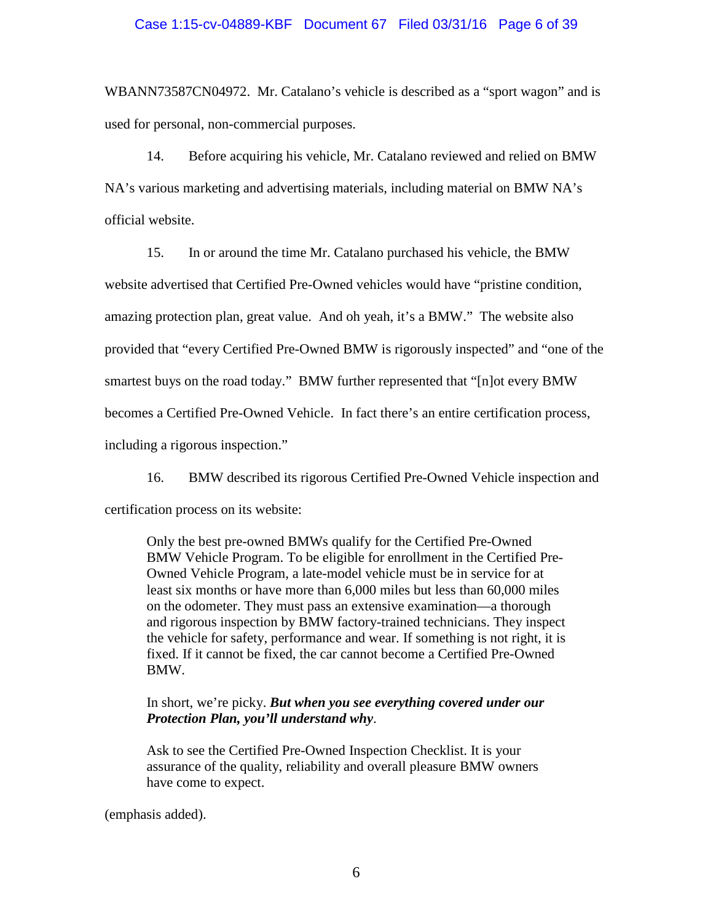## Case 1:15-cv-04889-KBF Document 67 Filed 03/31/16 Page 6 of 39

WBANN73587CN04972. Mr. Catalano's vehicle is described as a "sport wagon" and is used for personal, non-commercial purposes.

14. Before acquiring his vehicle, Mr. Catalano reviewed and relied on BMW NA's various marketing and advertising materials, including material on BMW NA's official website.

15. In or around the time Mr. Catalano purchased his vehicle, the BMW website advertised that Certified Pre-Owned vehicles would have "pristine condition, amazing protection plan, great value. And oh yeah, it's a BMW." The website also provided that "every Certified Pre-Owned BMW is rigorously inspected" and "one of the smartest buys on the road today." BMW further represented that "[n]ot every BMW becomes a Certified Pre-Owned Vehicle. In fact there's an entire certification process, including a rigorous inspection."

16. BMW described its rigorous Certified Pre-Owned Vehicle inspection and certification process on its website:

Only the best pre-owned BMWs qualify for the Certified Pre-Owned BMW Vehicle Program. To be eligible for enrollment in the Certified Pre-Owned Vehicle Program, a late-model vehicle must be in service for at least six months or have more than 6,000 miles but less than 60,000 miles on the odometer. They must pass an extensive examination—a thorough and rigorous inspection by BMW factory-trained technicians. They inspect the vehicle for safety, performance and wear. If something is not right, it is fixed. If it cannot be fixed, the car cannot become a Certified Pre-Owned BMW.

## In short, we're picky. *But when you see everything covered under our Protection Plan, you'll understand why*.

Ask to see the Certified Pre-Owned Inspection Checklist. It is your assurance of the quality, reliability and overall pleasure BMW owners have come to expect.

(emphasis added).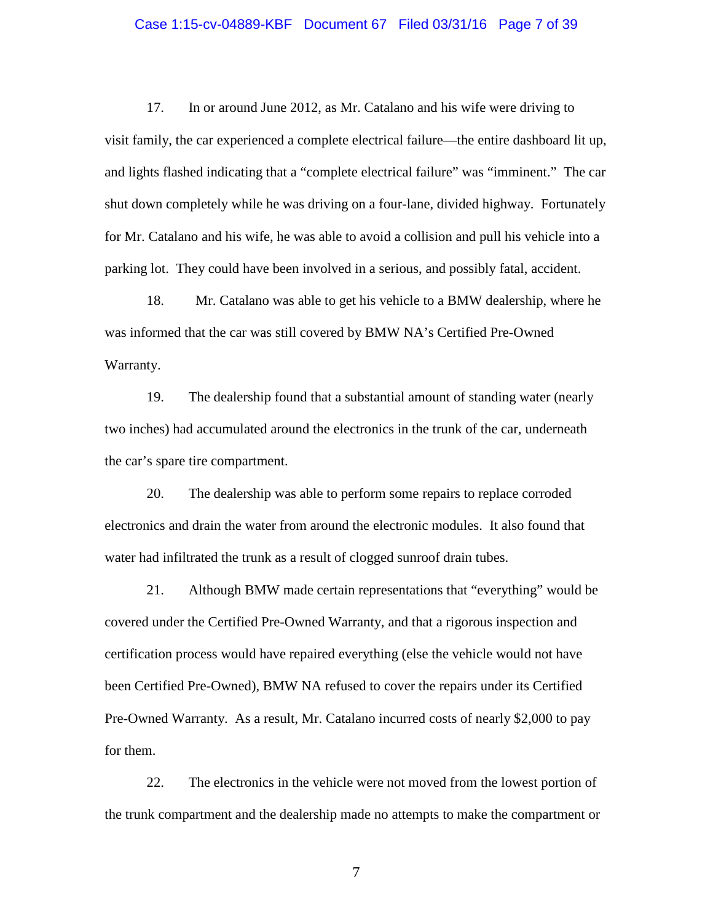## Case 1:15-cv-04889-KBF Document 67 Filed 03/31/16 Page 7 of 39

17. In or around June 2012, as Mr. Catalano and his wife were driving to visit family, the car experienced a complete electrical failure—the entire dashboard lit up, and lights flashed indicating that a "complete electrical failure" was "imminent." The car shut down completely while he was driving on a four-lane, divided highway. Fortunately for Mr. Catalano and his wife, he was able to avoid a collision and pull his vehicle into a parking lot. They could have been involved in a serious, and possibly fatal, accident.

18. Mr. Catalano was able to get his vehicle to a BMW dealership, where he was informed that the car was still covered by BMW NA's Certified Pre-Owned Warranty.

19. The dealership found that a substantial amount of standing water (nearly two inches) had accumulated around the electronics in the trunk of the car, underneath the car's spare tire compartment.

20. The dealership was able to perform some repairs to replace corroded electronics and drain the water from around the electronic modules. It also found that water had infiltrated the trunk as a result of clogged sunroof drain tubes.

21. Although BMW made certain representations that "everything" would be covered under the Certified Pre-Owned Warranty, and that a rigorous inspection and certification process would have repaired everything (else the vehicle would not have been Certified Pre-Owned), BMW NA refused to cover the repairs under its Certified Pre-Owned Warranty. As a result, Mr. Catalano incurred costs of nearly \$2,000 to pay for them.

22. The electronics in the vehicle were not moved from the lowest portion of the trunk compartment and the dealership made no attempts to make the compartment or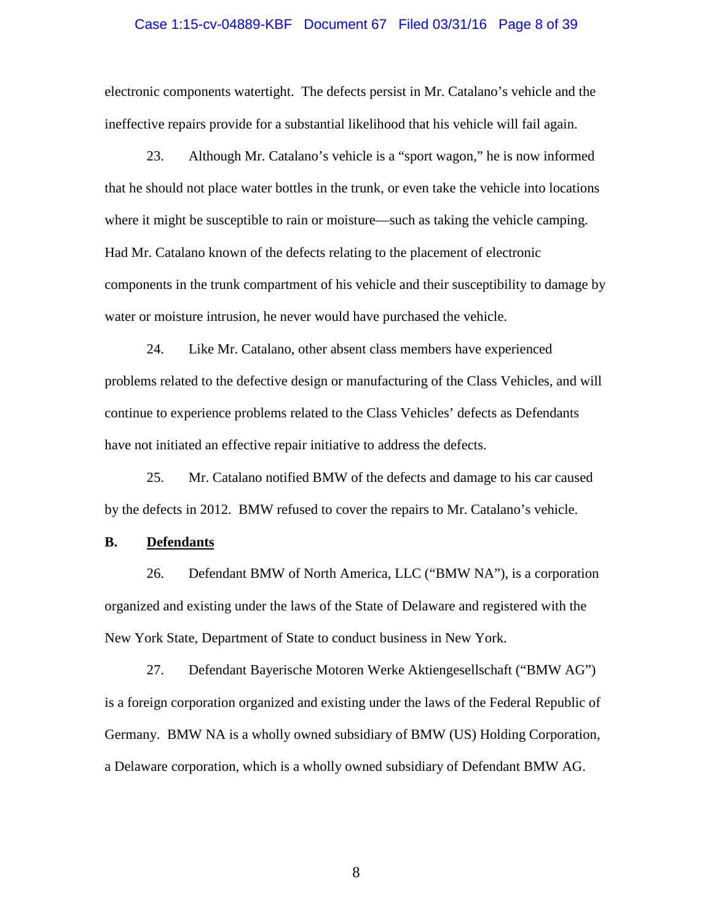#### Case 1:15-cv-04889-KBF Document 67 Filed 03/31/16 Page 8 of 39

electronic components watertight. The defects persist in Mr. Catalano's vehicle and the ineffective repairs provide for a substantial likelihood that his vehicle will fail again.

23. Although Mr. Catalano's vehicle is a "sport wagon," he is now informed that he should not place water bottles in the trunk, or even take the vehicle into locations where it might be susceptible to rain or moisture—such as taking the vehicle camping. Had Mr. Catalano known of the defects relating to the placement of electronic components in the trunk compartment of his vehicle and their susceptibility to damage by water or moisture intrusion, he never would have purchased the vehicle.

24. Like Mr. Catalano, other absent class members have experienced problems related to the defective design or manufacturing of the Class Vehicles, and will continue to experience problems related to the Class Vehicles' defects as Defendants have not initiated an effective repair initiative to address the defects.

25. Mr. Catalano notified BMW of the defects and damage to his car caused by the defects in 2012. BMW refused to cover the repairs to Mr. Catalano's vehicle.

## **B. Defendants**

26. Defendant BMW of North America, LLC ("BMW NA"), is a corporation organized and existing under the laws of the State of Delaware and registered with the New York State, Department of State to conduct business in New York.

27. Defendant Bayerische Motoren Werke Aktiengesellschaft ("BMW AG") is a foreign corporation organized and existing under the laws of the Federal Republic of Germany. BMW NA is a wholly owned subsidiary of BMW (US) Holding Corporation, a Delaware corporation, which is a wholly owned subsidiary of Defendant BMW AG.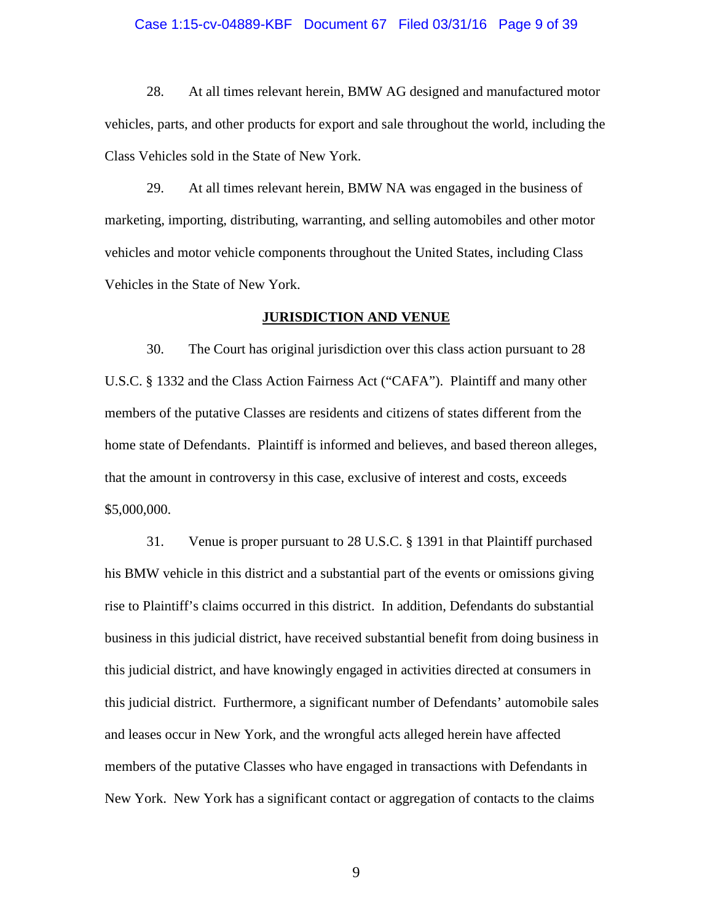#### Case 1:15-cv-04889-KBF Document 67 Filed 03/31/16 Page 9 of 39

28. At all times relevant herein, BMW AG designed and manufactured motor vehicles, parts, and other products for export and sale throughout the world, including the Class Vehicles sold in the State of New York.

29. At all times relevant herein, BMW NA was engaged in the business of marketing, importing, distributing, warranting, and selling automobiles and other motor vehicles and motor vehicle components throughout the United States, including Class Vehicles in the State of New York.

## **JURISDICTION AND VENUE**

30. The Court has original jurisdiction over this class action pursuant to 28 U.S.C. § 1332 and the Class Action Fairness Act ("CAFA"). Plaintiff and many other members of the putative Classes are residents and citizens of states different from the home state of Defendants. Plaintiff is informed and believes, and based thereon alleges, that the amount in controversy in this case, exclusive of interest and costs, exceeds \$5,000,000.

31. Venue is proper pursuant to 28 U.S.C. § 1391 in that Plaintiff purchased his BMW vehicle in this district and a substantial part of the events or omissions giving rise to Plaintiff's claims occurred in this district. In addition, Defendants do substantial business in this judicial district, have received substantial benefit from doing business in this judicial district, and have knowingly engaged in activities directed at consumers in this judicial district. Furthermore, a significant number of Defendants' automobile sales and leases occur in New York, and the wrongful acts alleged herein have affected members of the putative Classes who have engaged in transactions with Defendants in New York. New York has a significant contact or aggregation of contacts to the claims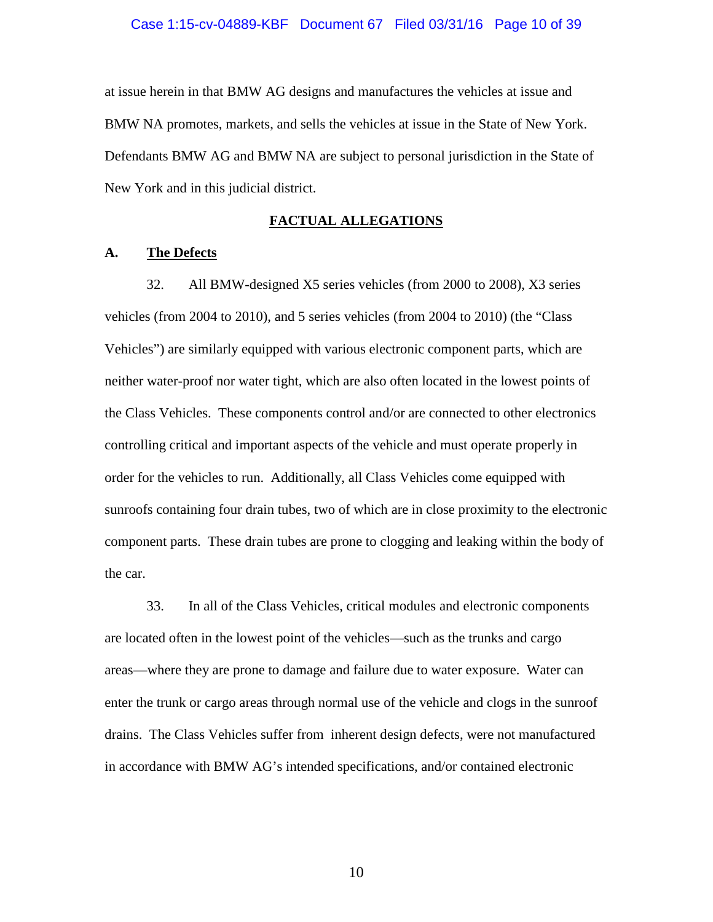### Case 1:15-cv-04889-KBF Document 67 Filed 03/31/16 Page 10 of 39

at issue herein in that BMW AG designs and manufactures the vehicles at issue and BMW NA promotes, markets, and sells the vehicles at issue in the State of New York. Defendants BMW AG and BMW NA are subject to personal jurisdiction in the State of New York and in this judicial district.

## **FACTUAL ALLEGATIONS**

## **A. The Defects**

32. All BMW-designed X5 series vehicles (from 2000 to 2008), X3 series vehicles (from 2004 to 2010), and 5 series vehicles (from 2004 to 2010) (the "Class Vehicles") are similarly equipped with various electronic component parts, which are neither water-proof nor water tight, which are also often located in the lowest points of the Class Vehicles. These components control and/or are connected to other electronics controlling critical and important aspects of the vehicle and must operate properly in order for the vehicles to run. Additionally, all Class Vehicles come equipped with sunroofs containing four drain tubes, two of which are in close proximity to the electronic component parts. These drain tubes are prone to clogging and leaking within the body of the car.

33. In all of the Class Vehicles, critical modules and electronic components are located often in the lowest point of the vehicles—such as the trunks and cargo areas—where they are prone to damage and failure due to water exposure. Water can enter the trunk or cargo areas through normal use of the vehicle and clogs in the sunroof drains. The Class Vehicles suffer from inherent design defects, were not manufactured in accordance with BMW AG's intended specifications, and/or contained electronic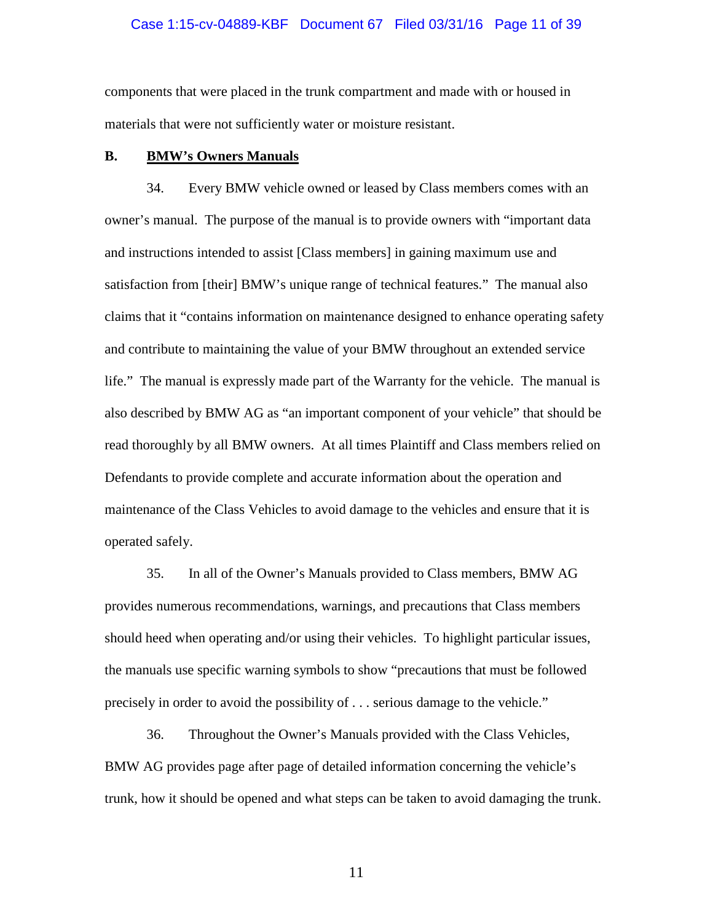### Case 1:15-cv-04889-KBF Document 67 Filed 03/31/16 Page 11 of 39

components that were placed in the trunk compartment and made with or housed in materials that were not sufficiently water or moisture resistant.

## **B. BMW's Owners Manuals**

34. Every BMW vehicle owned or leased by Class members comes with an owner's manual. The purpose of the manual is to provide owners with "important data and instructions intended to assist [Class members] in gaining maximum use and satisfaction from [their] BMW's unique range of technical features." The manual also claims that it "contains information on maintenance designed to enhance operating safety and contribute to maintaining the value of your BMW throughout an extended service life." The manual is expressly made part of the Warranty for the vehicle. The manual is also described by BMW AG as "an important component of your vehicle" that should be read thoroughly by all BMW owners. At all times Plaintiff and Class members relied on Defendants to provide complete and accurate information about the operation and maintenance of the Class Vehicles to avoid damage to the vehicles and ensure that it is operated safely.

35. In all of the Owner's Manuals provided to Class members, BMW AG provides numerous recommendations, warnings, and precautions that Class members should heed when operating and/or using their vehicles. To highlight particular issues, the manuals use specific warning symbols to show "precautions that must be followed precisely in order to avoid the possibility of . . . serious damage to the vehicle."

36. Throughout the Owner's Manuals provided with the Class Vehicles, BMW AG provides page after page of detailed information concerning the vehicle's trunk, how it should be opened and what steps can be taken to avoid damaging the trunk.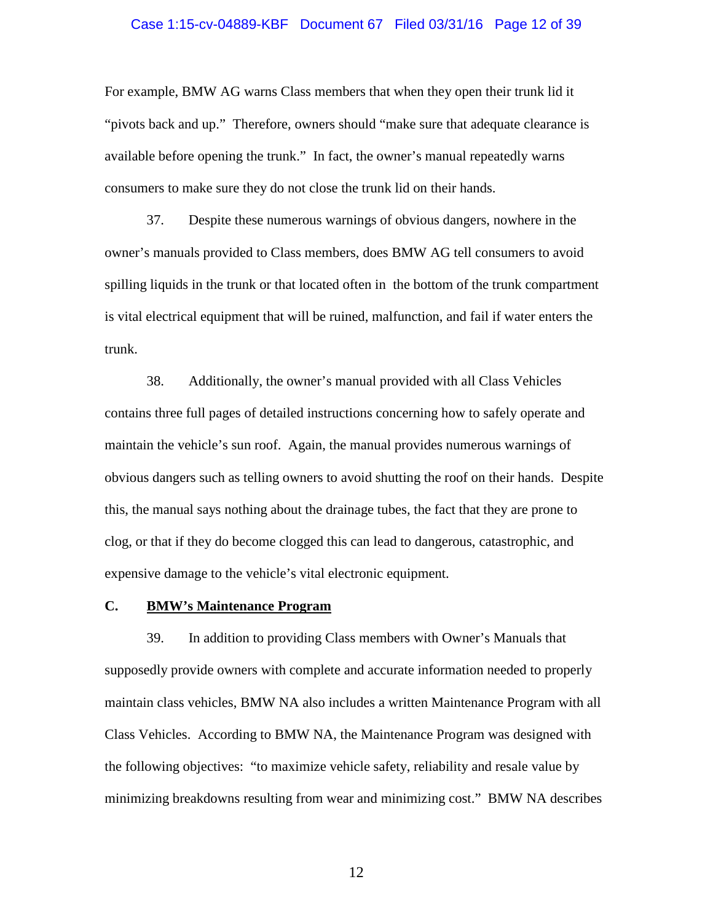#### Case 1:15-cv-04889-KBF Document 67 Filed 03/31/16 Page 12 of 39

For example, BMW AG warns Class members that when they open their trunk lid it "pivots back and up." Therefore, owners should "make sure that adequate clearance is available before opening the trunk." In fact, the owner's manual repeatedly warns consumers to make sure they do not close the trunk lid on their hands.

37. Despite these numerous warnings of obvious dangers, nowhere in the owner's manuals provided to Class members, does BMW AG tell consumers to avoid spilling liquids in the trunk or that located often in the bottom of the trunk compartment is vital electrical equipment that will be ruined, malfunction, and fail if water enters the trunk.

38. Additionally, the owner's manual provided with all Class Vehicles contains three full pages of detailed instructions concerning how to safely operate and maintain the vehicle's sun roof. Again, the manual provides numerous warnings of obvious dangers such as telling owners to avoid shutting the roof on their hands. Despite this, the manual says nothing about the drainage tubes, the fact that they are prone to clog, or that if they do become clogged this can lead to dangerous, catastrophic, and expensive damage to the vehicle's vital electronic equipment.

## **C. BMW's Maintenance Program**

39. In addition to providing Class members with Owner's Manuals that supposedly provide owners with complete and accurate information needed to properly maintain class vehicles, BMW NA also includes a written Maintenance Program with all Class Vehicles. According to BMW NA, the Maintenance Program was designed with the following objectives: "to maximize vehicle safety, reliability and resale value by minimizing breakdowns resulting from wear and minimizing cost." BMW NA describes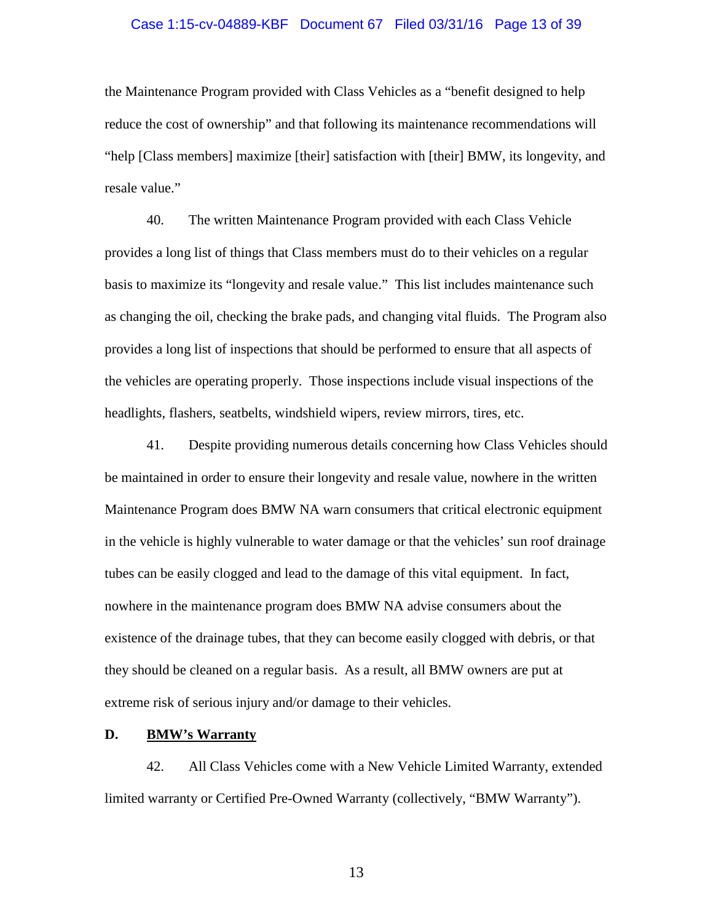#### Case 1:15-cv-04889-KBF Document 67 Filed 03/31/16 Page 13 of 39

the Maintenance Program provided with Class Vehicles as a "benefit designed to help reduce the cost of ownership" and that following its maintenance recommendations will "help [Class members] maximize [their] satisfaction with [their] BMW, its longevity, and resale value."

40. The written Maintenance Program provided with each Class Vehicle provides a long list of things that Class members must do to their vehicles on a regular basis to maximize its "longevity and resale value." This list includes maintenance such as changing the oil, checking the brake pads, and changing vital fluids. The Program also provides a long list of inspections that should be performed to ensure that all aspects of the vehicles are operating properly. Those inspections include visual inspections of the headlights, flashers, seatbelts, windshield wipers, review mirrors, tires, etc.

41. Despite providing numerous details concerning how Class Vehicles should be maintained in order to ensure their longevity and resale value, nowhere in the written Maintenance Program does BMW NA warn consumers that critical electronic equipment in the vehicle is highly vulnerable to water damage or that the vehicles' sun roof drainage tubes can be easily clogged and lead to the damage of this vital equipment. In fact, nowhere in the maintenance program does BMW NA advise consumers about the existence of the drainage tubes, that they can become easily clogged with debris, or that they should be cleaned on a regular basis. As a result, all BMW owners are put at extreme risk of serious injury and/or damage to their vehicles.

#### **D. BMW's Warranty**

42. All Class Vehicles come with a New Vehicle Limited Warranty, extended limited warranty or Certified Pre-Owned Warranty (collectively, "BMW Warranty").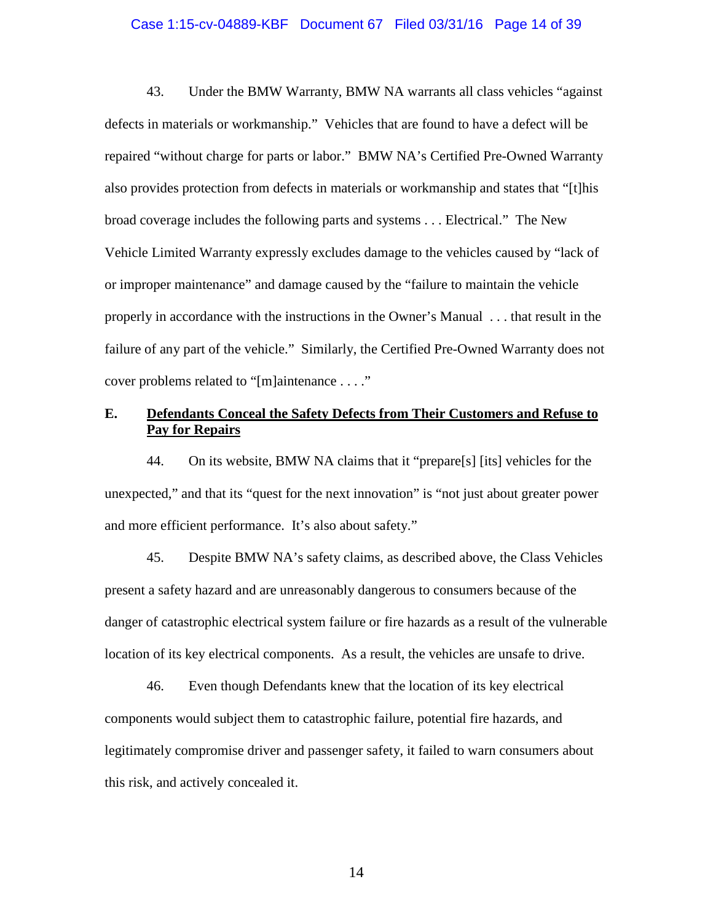## Case 1:15-cv-04889-KBF Document 67 Filed 03/31/16 Page 14 of 39

43. Under the BMW Warranty, BMW NA warrants all class vehicles "against defects in materials or workmanship." Vehicles that are found to have a defect will be repaired "without charge for parts or labor." BMW NA's Certified Pre-Owned Warranty also provides protection from defects in materials or workmanship and states that "[t]his broad coverage includes the following parts and systems . . . Electrical." The New Vehicle Limited Warranty expressly excludes damage to the vehicles caused by "lack of or improper maintenance" and damage caused by the "failure to maintain the vehicle properly in accordance with the instructions in the Owner's Manual . . . that result in the failure of any part of the vehicle." Similarly, the Certified Pre-Owned Warranty does not cover problems related to "[m]aintenance . . . ."

## **E. Defendants Conceal the Safety Defects from Their Customers and Refuse to Pay for Repairs**

44. On its website, BMW NA claims that it "prepare[s] [its] vehicles for the unexpected," and that its "quest for the next innovation" is "not just about greater power and more efficient performance. It's also about safety."

45. Despite BMW NA's safety claims, as described above, the Class Vehicles present a safety hazard and are unreasonably dangerous to consumers because of the danger of catastrophic electrical system failure or fire hazards as a result of the vulnerable location of its key electrical components. As a result, the vehicles are unsafe to drive.

46. Even though Defendants knew that the location of its key electrical components would subject them to catastrophic failure, potential fire hazards, and legitimately compromise driver and passenger safety, it failed to warn consumers about this risk, and actively concealed it.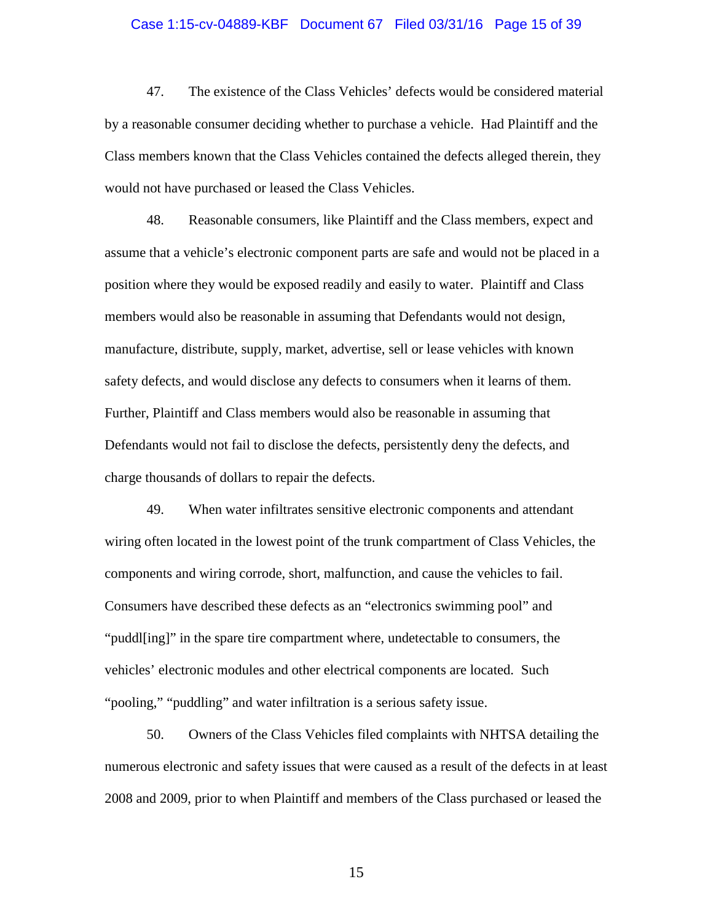#### Case 1:15-cv-04889-KBF Document 67 Filed 03/31/16 Page 15 of 39

47. The existence of the Class Vehicles' defects would be considered material by a reasonable consumer deciding whether to purchase a vehicle. Had Plaintiff and the Class members known that the Class Vehicles contained the defects alleged therein, they would not have purchased or leased the Class Vehicles.

48. Reasonable consumers, like Plaintiff and the Class members, expect and assume that a vehicle's electronic component parts are safe and would not be placed in a position where they would be exposed readily and easily to water. Plaintiff and Class members would also be reasonable in assuming that Defendants would not design, manufacture, distribute, supply, market, advertise, sell or lease vehicles with known safety defects, and would disclose any defects to consumers when it learns of them. Further, Plaintiff and Class members would also be reasonable in assuming that Defendants would not fail to disclose the defects, persistently deny the defects, and charge thousands of dollars to repair the defects.

49. When water infiltrates sensitive electronic components and attendant wiring often located in the lowest point of the trunk compartment of Class Vehicles, the components and wiring corrode, short, malfunction, and cause the vehicles to fail. Consumers have described these defects as an "electronics swimming pool" and "puddl[ing]" in the spare tire compartment where, undetectable to consumers, the vehicles' electronic modules and other electrical components are located. Such "pooling," "puddling" and water infiltration is a serious safety issue.

50. Owners of the Class Vehicles filed complaints with NHTSA detailing the numerous electronic and safety issues that were caused as a result of the defects in at least 2008 and 2009, prior to when Plaintiff and members of the Class purchased or leased the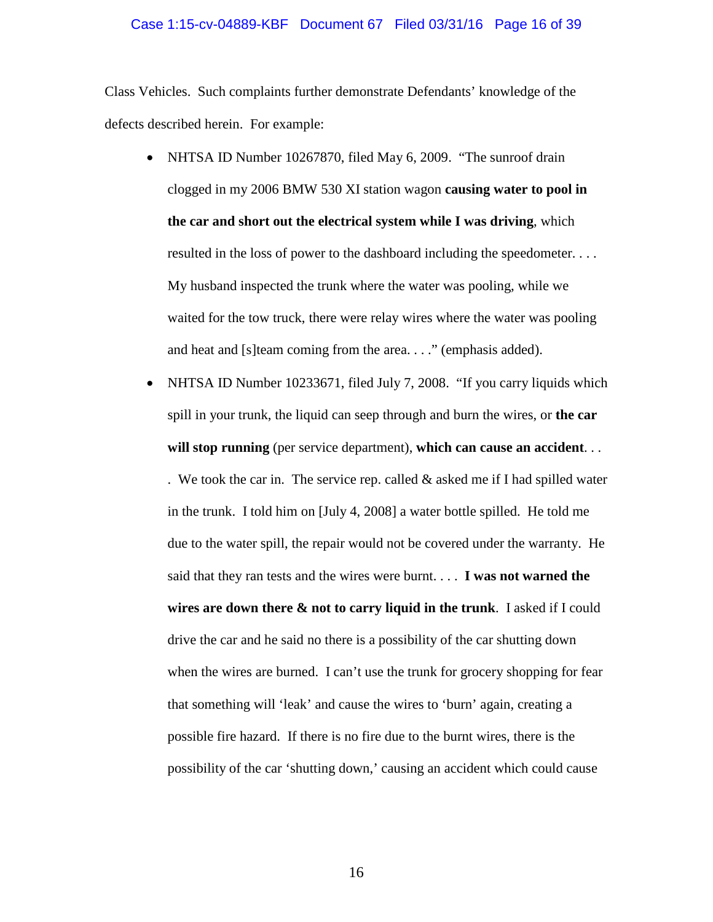## Case 1:15-cv-04889-KBF Document 67 Filed 03/31/16 Page 16 of 39

Class Vehicles. Such complaints further demonstrate Defendants' knowledge of the defects described herein. For example:

- NHTSA ID Number 10267870, filed May 6, 2009. "The sunroof drain clogged in my 2006 BMW 530 XI station wagon **causing water to pool in the car and short out the electrical system while I was driving**, which resulted in the loss of power to the dashboard including the speedometer. . . . My husband inspected the trunk where the water was pooling, while we waited for the tow truck, there were relay wires where the water was pooling and heat and [s]team coming from the area. . . ." (emphasis added).
- NHTSA ID Number 10233671, filed July 7, 2008. "If you carry liquids which spill in your trunk, the liquid can seep through and burn the wires, or **the car will stop running** (per service department), **which can cause an accident**. . .

. We took the car in. The service rep. called  $&$  asked me if I had spilled water in the trunk. I told him on [July 4, 2008] a water bottle spilled. He told me due to the water spill, the repair would not be covered under the warranty. He said that they ran tests and the wires were burnt. . . . **I was not warned the wires are down there & not to carry liquid in the trunk**. I asked if I could drive the car and he said no there is a possibility of the car shutting down when the wires are burned. I can't use the trunk for grocery shopping for fear that something will 'leak' and cause the wires to 'burn' again, creating a possible fire hazard. If there is no fire due to the burnt wires, there is the possibility of the car 'shutting down,' causing an accident which could cause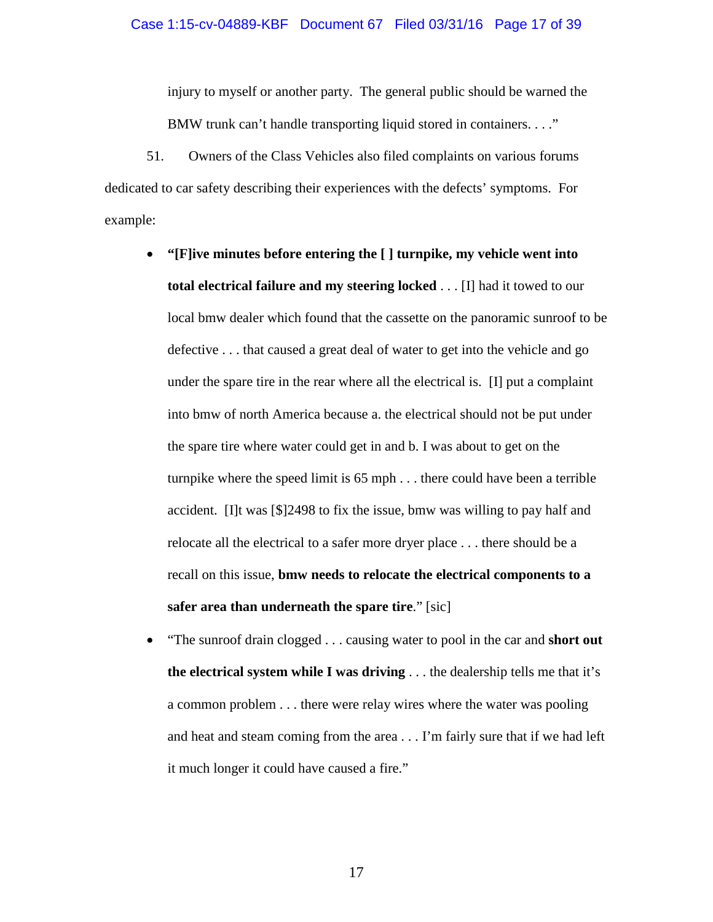injury to myself or another party. The general public should be warned the BMW trunk can't handle transporting liquid stored in containers. . . ."

51. Owners of the Class Vehicles also filed complaints on various forums dedicated to car safety describing their experiences with the defects' symptoms. For example:

- **"[F]ive minutes before entering the [ ] turnpike, my vehicle went into total electrical failure and my steering locked** . . . [I] had it towed to our local bmw dealer which found that the cassette on the panoramic sunroof to be defective . . . that caused a great deal of water to get into the vehicle and go under the spare tire in the rear where all the electrical is. [I] put a complaint into bmw of north America because a. the electrical should not be put under the spare tire where water could get in and b. I was about to get on the turnpike where the speed limit is 65 mph . . . there could have been a terrible accident. [I]t was [\$]2498 to fix the issue, bmw was willing to pay half and relocate all the electrical to a safer more dryer place . . . there should be a recall on this issue, **bmw needs to relocate the electrical components to a safer area than underneath the spare tire**." [sic]
- "The sunroof drain clogged . . . causing water to pool in the car and **short out the electrical system while I was driving** . . . the dealership tells me that it's a common problem . . . there were relay wires where the water was pooling and heat and steam coming from the area . . . I'm fairly sure that if we had left it much longer it could have caused a fire."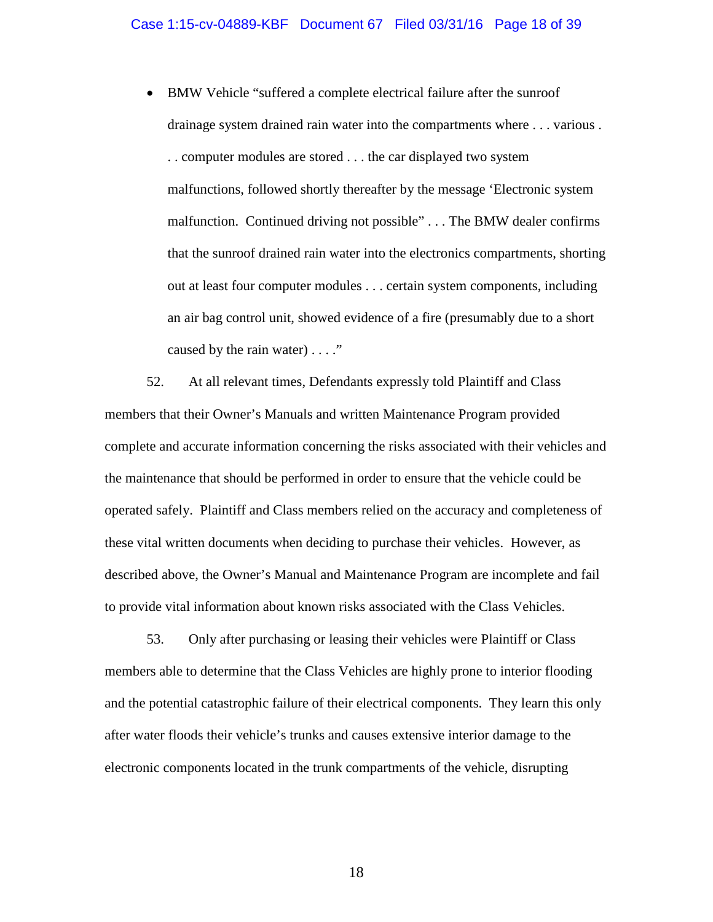• BMW Vehicle "suffered a complete electrical failure after the sunroof drainage system drained rain water into the compartments where . . . various . . . computer modules are stored . . . the car displayed two system malfunctions, followed shortly thereafter by the message 'Electronic system malfunction. Continued driving not possible" . . . The BMW dealer confirms that the sunroof drained rain water into the electronics compartments, shorting out at least four computer modules . . . certain system components, including an air bag control unit, showed evidence of a fire (presumably due to a short caused by the rain water) . . . ."

52. At all relevant times, Defendants expressly told Plaintiff and Class members that their Owner's Manuals and written Maintenance Program provided complete and accurate information concerning the risks associated with their vehicles and the maintenance that should be performed in order to ensure that the vehicle could be operated safely. Plaintiff and Class members relied on the accuracy and completeness of these vital written documents when deciding to purchase their vehicles. However, as described above, the Owner's Manual and Maintenance Program are incomplete and fail to provide vital information about known risks associated with the Class Vehicles.

53. Only after purchasing or leasing their vehicles were Plaintiff or Class members able to determine that the Class Vehicles are highly prone to interior flooding and the potential catastrophic failure of their electrical components. They learn this only after water floods their vehicle's trunks and causes extensive interior damage to the electronic components located in the trunk compartments of the vehicle, disrupting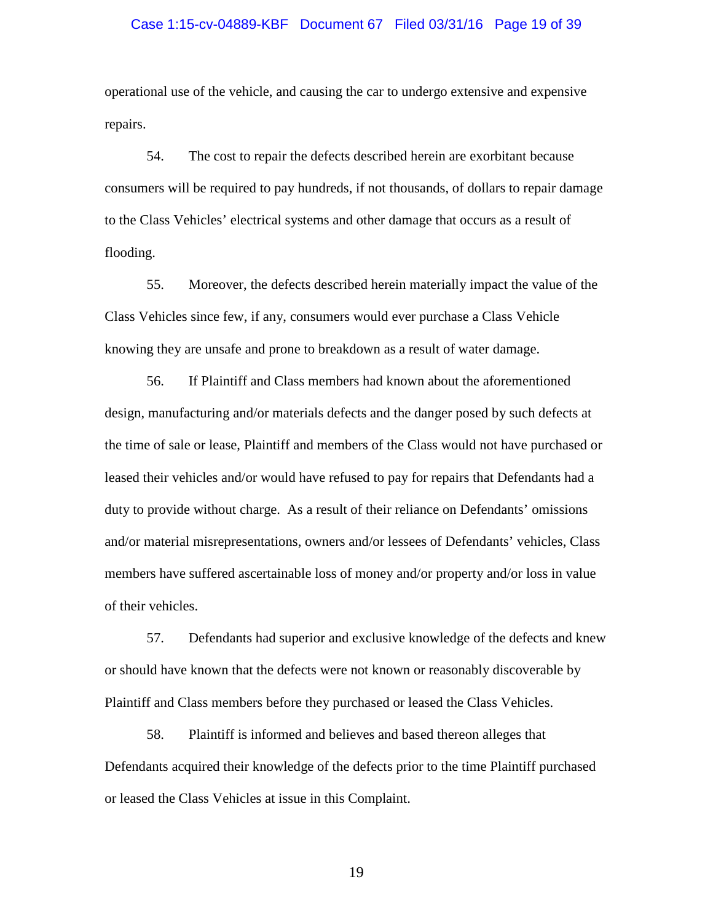#### Case 1:15-cv-04889-KBF Document 67 Filed 03/31/16 Page 19 of 39

operational use of the vehicle, and causing the car to undergo extensive and expensive repairs.

54. The cost to repair the defects described herein are exorbitant because consumers will be required to pay hundreds, if not thousands, of dollars to repair damage to the Class Vehicles' electrical systems and other damage that occurs as a result of flooding.

55. Moreover, the defects described herein materially impact the value of the Class Vehicles since few, if any, consumers would ever purchase a Class Vehicle knowing they are unsafe and prone to breakdown as a result of water damage.

56. If Plaintiff and Class members had known about the aforementioned design, manufacturing and/or materials defects and the danger posed by such defects at the time of sale or lease, Plaintiff and members of the Class would not have purchased or leased their vehicles and/or would have refused to pay for repairs that Defendants had a duty to provide without charge. As a result of their reliance on Defendants' omissions and/or material misrepresentations, owners and/or lessees of Defendants' vehicles, Class members have suffered ascertainable loss of money and/or property and/or loss in value of their vehicles.

57. Defendants had superior and exclusive knowledge of the defects and knew or should have known that the defects were not known or reasonably discoverable by Plaintiff and Class members before they purchased or leased the Class Vehicles.

58. Plaintiff is informed and believes and based thereon alleges that Defendants acquired their knowledge of the defects prior to the time Plaintiff purchased or leased the Class Vehicles at issue in this Complaint.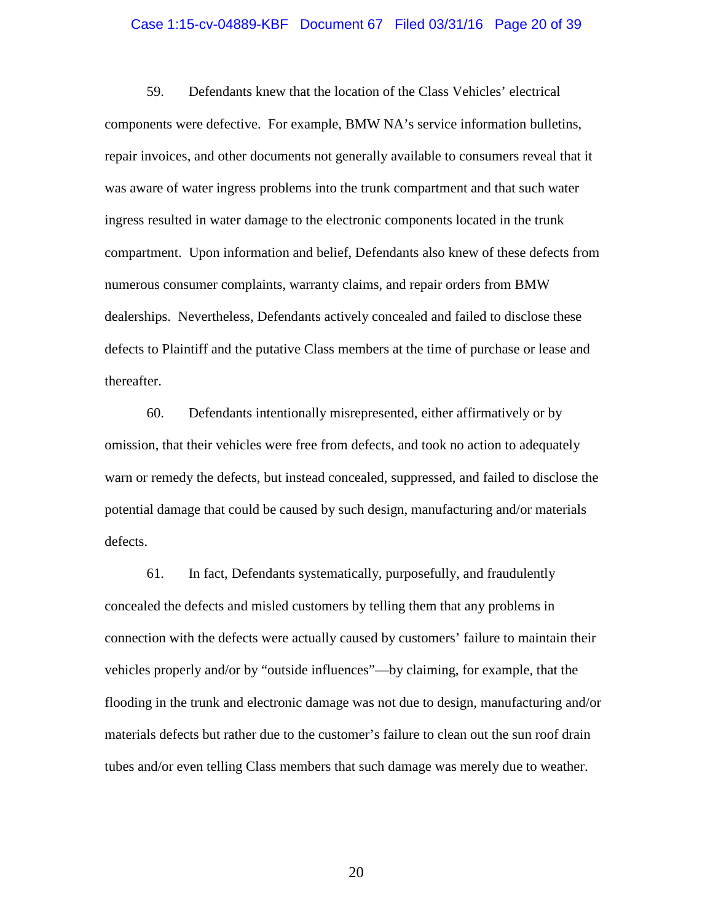#### Case 1:15-cv-04889-KBF Document 67 Filed 03/31/16 Page 20 of 39

59. Defendants knew that the location of the Class Vehicles' electrical components were defective. For example, BMW NA's service information bulletins, repair invoices, and other documents not generally available to consumers reveal that it was aware of water ingress problems into the trunk compartment and that such water ingress resulted in water damage to the electronic components located in the trunk compartment. Upon information and belief, Defendants also knew of these defects from numerous consumer complaints, warranty claims, and repair orders from BMW dealerships. Nevertheless, Defendants actively concealed and failed to disclose these defects to Plaintiff and the putative Class members at the time of purchase or lease and thereafter.

60. Defendants intentionally misrepresented, either affirmatively or by omission, that their vehicles were free from defects, and took no action to adequately warn or remedy the defects, but instead concealed, suppressed, and failed to disclose the potential damage that could be caused by such design, manufacturing and/or materials defects.

61. In fact, Defendants systematically, purposefully, and fraudulently concealed the defects and misled customers by telling them that any problems in connection with the defects were actually caused by customers' failure to maintain their vehicles properly and/or by "outside influences"—by claiming, for example, that the flooding in the trunk and electronic damage was not due to design, manufacturing and/or materials defects but rather due to the customer's failure to clean out the sun roof drain tubes and/or even telling Class members that such damage was merely due to weather.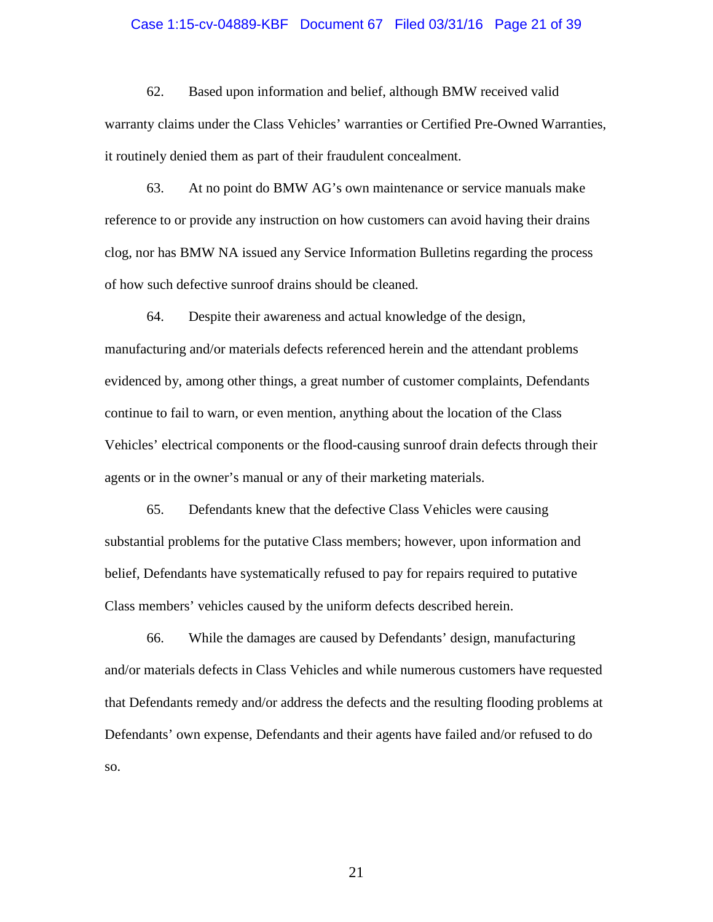#### Case 1:15-cv-04889-KBF Document 67 Filed 03/31/16 Page 21 of 39

62. Based upon information and belief, although BMW received valid warranty claims under the Class Vehicles' warranties or Certified Pre-Owned Warranties, it routinely denied them as part of their fraudulent concealment.

63. At no point do BMW AG's own maintenance or service manuals make reference to or provide any instruction on how customers can avoid having their drains clog, nor has BMW NA issued any Service Information Bulletins regarding the process of how such defective sunroof drains should be cleaned.

64. Despite their awareness and actual knowledge of the design, manufacturing and/or materials defects referenced herein and the attendant problems evidenced by, among other things, a great number of customer complaints, Defendants continue to fail to warn, or even mention, anything about the location of the Class Vehicles' electrical components or the flood-causing sunroof drain defects through their agents or in the owner's manual or any of their marketing materials.

65. Defendants knew that the defective Class Vehicles were causing substantial problems for the putative Class members; however, upon information and belief, Defendants have systematically refused to pay for repairs required to putative Class members' vehicles caused by the uniform defects described herein.

66. While the damages are caused by Defendants' design, manufacturing and/or materials defects in Class Vehicles and while numerous customers have requested that Defendants remedy and/or address the defects and the resulting flooding problems at Defendants' own expense, Defendants and their agents have failed and/or refused to do so.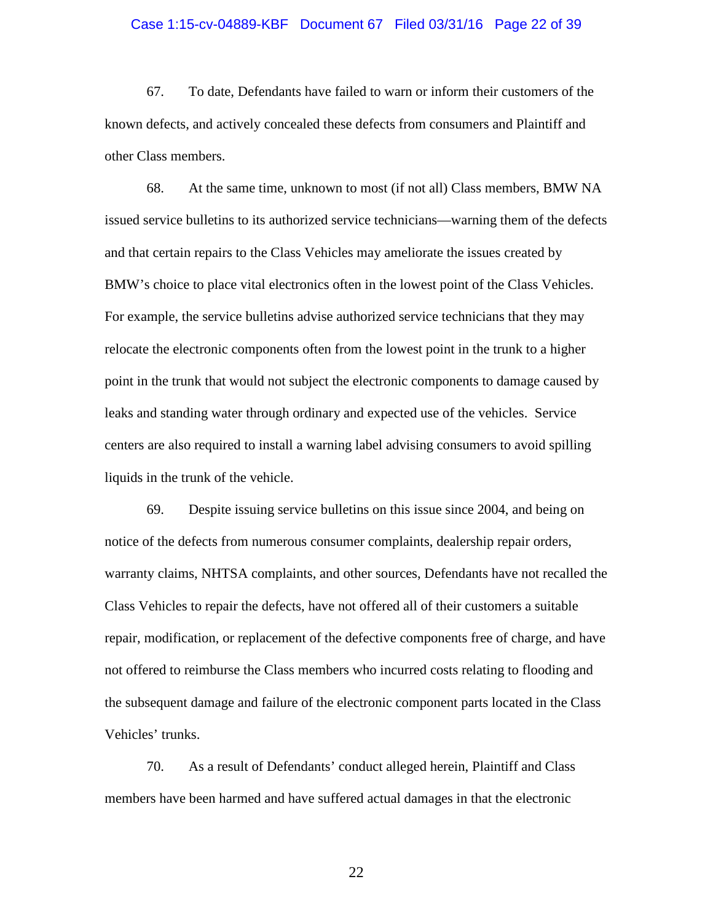#### Case 1:15-cv-04889-KBF Document 67 Filed 03/31/16 Page 22 of 39

67. To date, Defendants have failed to warn or inform their customers of the known defects, and actively concealed these defects from consumers and Plaintiff and other Class members.

68. At the same time, unknown to most (if not all) Class members, BMW NA issued service bulletins to its authorized service technicians—warning them of the defects and that certain repairs to the Class Vehicles may ameliorate the issues created by BMW's choice to place vital electronics often in the lowest point of the Class Vehicles. For example, the service bulletins advise authorized service technicians that they may relocate the electronic components often from the lowest point in the trunk to a higher point in the trunk that would not subject the electronic components to damage caused by leaks and standing water through ordinary and expected use of the vehicles. Service centers are also required to install a warning label advising consumers to avoid spilling liquids in the trunk of the vehicle.

69. Despite issuing service bulletins on this issue since 2004, and being on notice of the defects from numerous consumer complaints, dealership repair orders, warranty claims, NHTSA complaints, and other sources, Defendants have not recalled the Class Vehicles to repair the defects, have not offered all of their customers a suitable repair, modification, or replacement of the defective components free of charge, and have not offered to reimburse the Class members who incurred costs relating to flooding and the subsequent damage and failure of the electronic component parts located in the Class Vehicles' trunks.

70. As a result of Defendants' conduct alleged herein, Plaintiff and Class members have been harmed and have suffered actual damages in that the electronic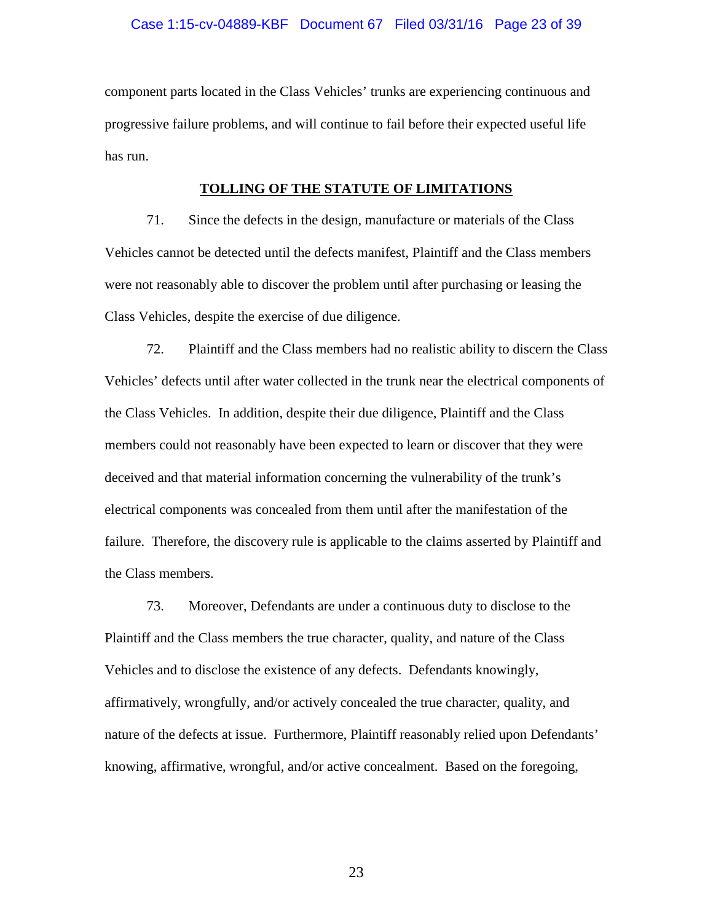## Case 1:15-cv-04889-KBF Document 67 Filed 03/31/16 Page 23 of 39

component parts located in the Class Vehicles' trunks are experiencing continuous and progressive failure problems, and will continue to fail before their expected useful life has run.

## **TOLLING OF THE STATUTE OF LIMITATIONS**

71. Since the defects in the design, manufacture or materials of the Class Vehicles cannot be detected until the defects manifest, Plaintiff and the Class members were not reasonably able to discover the problem until after purchasing or leasing the Class Vehicles, despite the exercise of due diligence.

72. Plaintiff and the Class members had no realistic ability to discern the Class Vehicles' defects until after water collected in the trunk near the electrical components of the Class Vehicles. In addition, despite their due diligence, Plaintiff and the Class members could not reasonably have been expected to learn or discover that they were deceived and that material information concerning the vulnerability of the trunk's electrical components was concealed from them until after the manifestation of the failure. Therefore, the discovery rule is applicable to the claims asserted by Plaintiff and the Class members.

73. Moreover, Defendants are under a continuous duty to disclose to the Plaintiff and the Class members the true character, quality, and nature of the Class Vehicles and to disclose the existence of any defects. Defendants knowingly, affirmatively, wrongfully, and/or actively concealed the true character, quality, and nature of the defects at issue. Furthermore, Plaintiff reasonably relied upon Defendants' knowing, affirmative, wrongful, and/or active concealment. Based on the foregoing,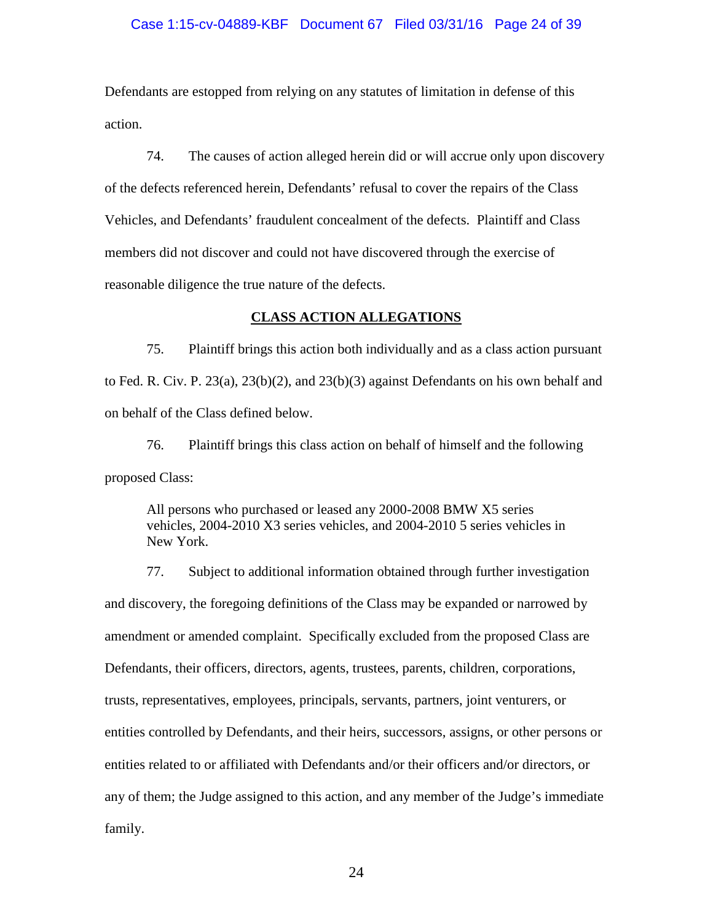## Case 1:15-cv-04889-KBF Document 67 Filed 03/31/16 Page 24 of 39

Defendants are estopped from relying on any statutes of limitation in defense of this action.

74. The causes of action alleged herein did or will accrue only upon discovery of the defects referenced herein, Defendants' refusal to cover the repairs of the Class Vehicles, and Defendants' fraudulent concealment of the defects. Plaintiff and Class members did not discover and could not have discovered through the exercise of reasonable diligence the true nature of the defects.

## **CLASS ACTION ALLEGATIONS**

75. Plaintiff brings this action both individually and as a class action pursuant to Fed. R. Civ. P. 23(a), 23(b)(2), and 23(b)(3) against Defendants on his own behalf and on behalf of the Class defined below.

76. Plaintiff brings this class action on behalf of himself and the following proposed Class:

All persons who purchased or leased any 2000-2008 BMW X5 series vehicles, 2004-2010 X3 series vehicles, and 2004-2010 5 series vehicles in New York.

77. Subject to additional information obtained through further investigation and discovery, the foregoing definitions of the Class may be expanded or narrowed by amendment or amended complaint. Specifically excluded from the proposed Class are Defendants, their officers, directors, agents, trustees, parents, children, corporations, trusts, representatives, employees, principals, servants, partners, joint venturers, or entities controlled by Defendants, and their heirs, successors, assigns, or other persons or entities related to or affiliated with Defendants and/or their officers and/or directors, or any of them; the Judge assigned to this action, and any member of the Judge's immediate family.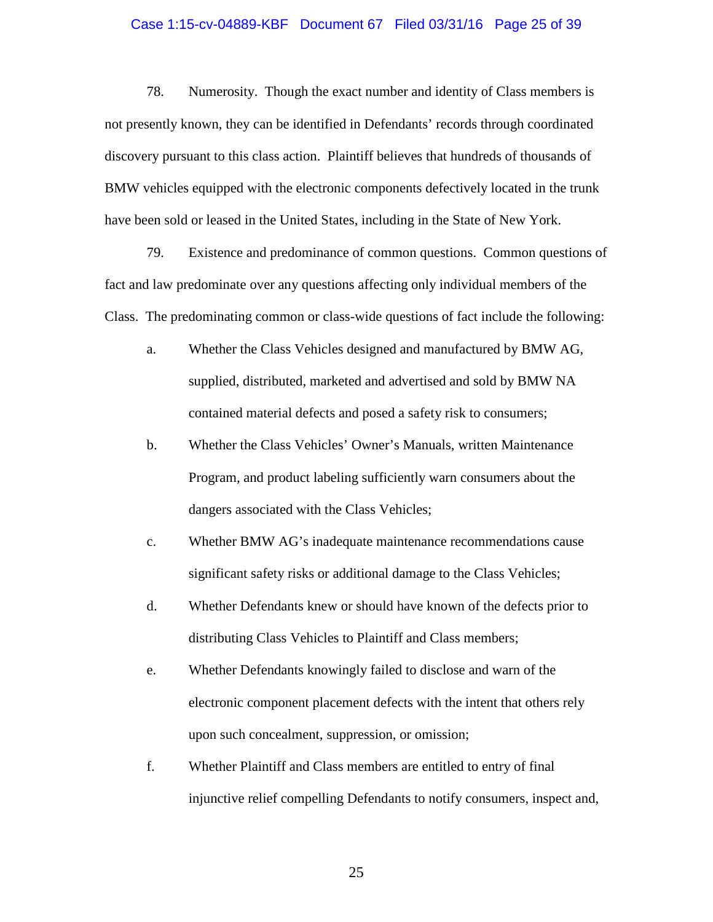#### Case 1:15-cv-04889-KBF Document 67 Filed 03/31/16 Page 25 of 39

78. Numerosity. Though the exact number and identity of Class members is not presently known, they can be identified in Defendants' records through coordinated discovery pursuant to this class action. Plaintiff believes that hundreds of thousands of BMW vehicles equipped with the electronic components defectively located in the trunk have been sold or leased in the United States, including in the State of New York.

79. Existence and predominance of common questions. Common questions of fact and law predominate over any questions affecting only individual members of the Class. The predominating common or class-wide questions of fact include the following:

- a. Whether the Class Vehicles designed and manufactured by BMW AG, supplied, distributed, marketed and advertised and sold by BMW NA contained material defects and posed a safety risk to consumers;
- b. Whether the Class Vehicles' Owner's Manuals, written Maintenance Program, and product labeling sufficiently warn consumers about the dangers associated with the Class Vehicles;
- c. Whether BMW AG's inadequate maintenance recommendations cause significant safety risks or additional damage to the Class Vehicles;
- d. Whether Defendants knew or should have known of the defects prior to distributing Class Vehicles to Plaintiff and Class members;
- e. Whether Defendants knowingly failed to disclose and warn of the electronic component placement defects with the intent that others rely upon such concealment, suppression, or omission;
- f. Whether Plaintiff and Class members are entitled to entry of final injunctive relief compelling Defendants to notify consumers, inspect and,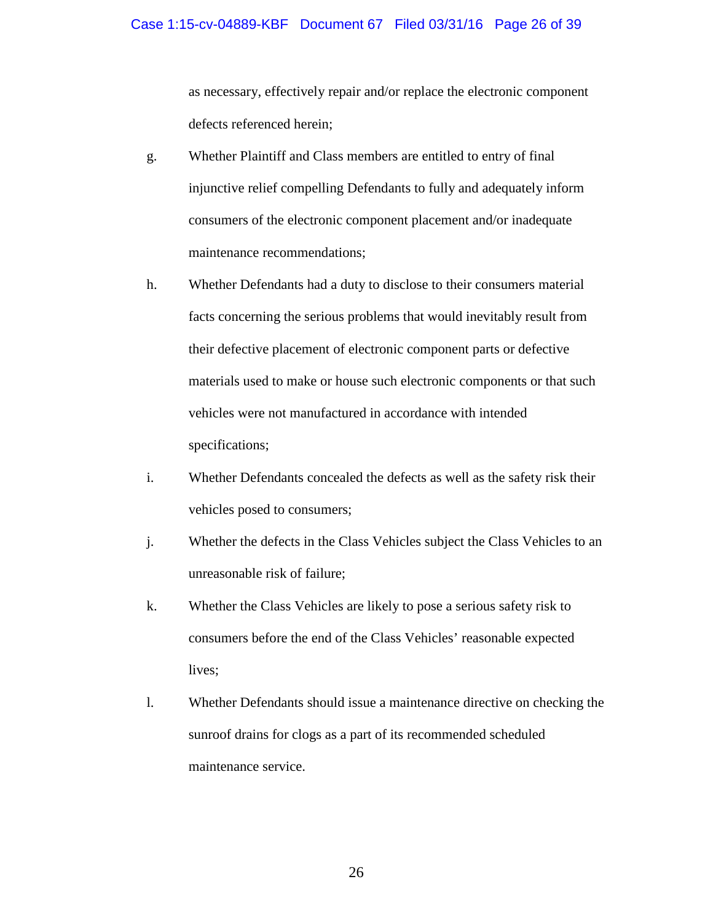as necessary, effectively repair and/or replace the electronic component defects referenced herein;

- g. Whether Plaintiff and Class members are entitled to entry of final injunctive relief compelling Defendants to fully and adequately inform consumers of the electronic component placement and/or inadequate maintenance recommendations;
- h. Whether Defendants had a duty to disclose to their consumers material facts concerning the serious problems that would inevitably result from their defective placement of electronic component parts or defective materials used to make or house such electronic components or that such vehicles were not manufactured in accordance with intended specifications;
- i. Whether Defendants concealed the defects as well as the safety risk their vehicles posed to consumers;
- j. Whether the defects in the Class Vehicles subject the Class Vehicles to an unreasonable risk of failure;
- k. Whether the Class Vehicles are likely to pose a serious safety risk to consumers before the end of the Class Vehicles' reasonable expected lives;
- l. Whether Defendants should issue a maintenance directive on checking the sunroof drains for clogs as a part of its recommended scheduled maintenance service.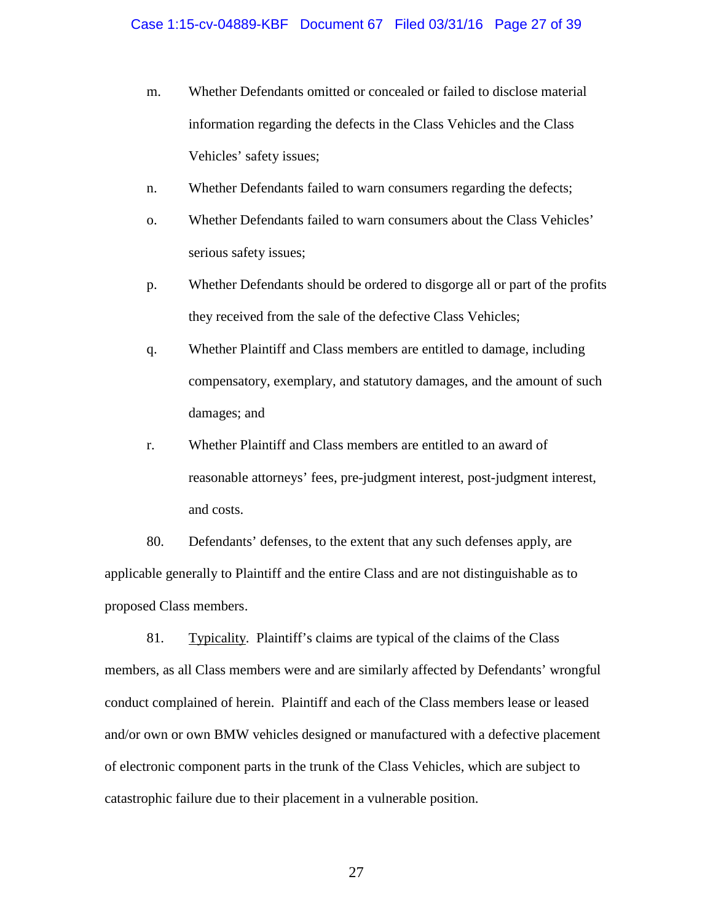- m. Whether Defendants omitted or concealed or failed to disclose material information regarding the defects in the Class Vehicles and the Class Vehicles' safety issues;
- n. Whether Defendants failed to warn consumers regarding the defects;
- o. Whether Defendants failed to warn consumers about the Class Vehicles' serious safety issues;
- p. Whether Defendants should be ordered to disgorge all or part of the profits they received from the sale of the defective Class Vehicles;
- q. Whether Plaintiff and Class members are entitled to damage, including compensatory, exemplary, and statutory damages, and the amount of such damages; and
- r. Whether Plaintiff and Class members are entitled to an award of reasonable attorneys' fees, pre-judgment interest, post-judgment interest, and costs.

80. Defendants' defenses, to the extent that any such defenses apply, are applicable generally to Plaintiff and the entire Class and are not distinguishable as to proposed Class members.

81. Typicality. Plaintiff's claims are typical of the claims of the Class members, as all Class members were and are similarly affected by Defendants' wrongful conduct complained of herein. Plaintiff and each of the Class members lease or leased and/or own or own BMW vehicles designed or manufactured with a defective placement of electronic component parts in the trunk of the Class Vehicles, which are subject to catastrophic failure due to their placement in a vulnerable position.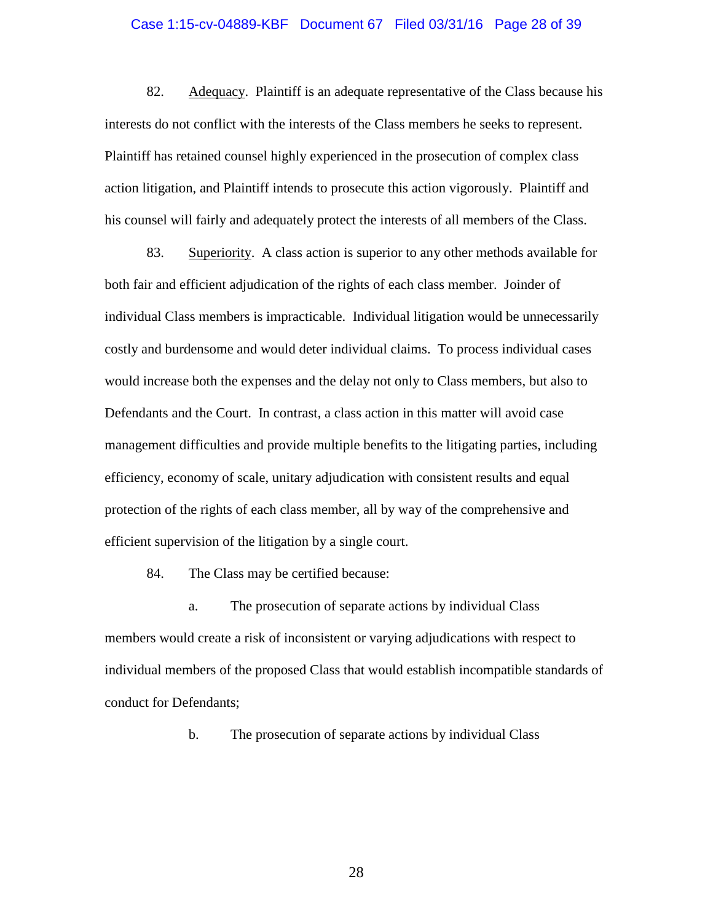#### Case 1:15-cv-04889-KBF Document 67 Filed 03/31/16 Page 28 of 39

82. Adequacy. Plaintiff is an adequate representative of the Class because his interests do not conflict with the interests of the Class members he seeks to represent. Plaintiff has retained counsel highly experienced in the prosecution of complex class action litigation, and Plaintiff intends to prosecute this action vigorously. Plaintiff and his counsel will fairly and adequately protect the interests of all members of the Class.

83. Superiority. A class action is superior to any other methods available for both fair and efficient adjudication of the rights of each class member. Joinder of individual Class members is impracticable. Individual litigation would be unnecessarily costly and burdensome and would deter individual claims. To process individual cases would increase both the expenses and the delay not only to Class members, but also to Defendants and the Court. In contrast, a class action in this matter will avoid case management difficulties and provide multiple benefits to the litigating parties, including efficiency, economy of scale, unitary adjudication with consistent results and equal protection of the rights of each class member, all by way of the comprehensive and efficient supervision of the litigation by a single court.

84. The Class may be certified because:

a. The prosecution of separate actions by individual Class members would create a risk of inconsistent or varying adjudications with respect to individual members of the proposed Class that would establish incompatible standards of conduct for Defendants;

b. The prosecution of separate actions by individual Class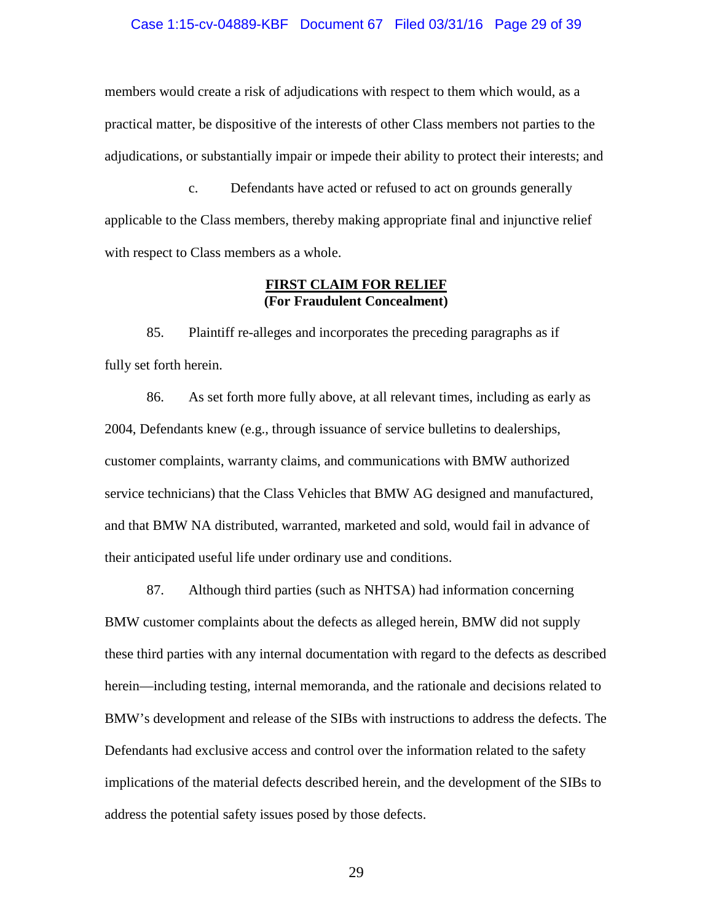## Case 1:15-cv-04889-KBF Document 67 Filed 03/31/16 Page 29 of 39

members would create a risk of adjudications with respect to them which would, as a practical matter, be dispositive of the interests of other Class members not parties to the adjudications, or substantially impair or impede their ability to protect their interests; and

c. Defendants have acted or refused to act on grounds generally applicable to the Class members, thereby making appropriate final and injunctive relief with respect to Class members as a whole.

## **FIRST CLAIM FOR RELIEF (For Fraudulent Concealment)**

85. Plaintiff re-alleges and incorporates the preceding paragraphs as if fully set forth herein.

86. As set forth more fully above, at all relevant times, including as early as 2004, Defendants knew (e.g., through issuance of service bulletins to dealerships, customer complaints, warranty claims, and communications with BMW authorized service technicians) that the Class Vehicles that BMW AG designed and manufactured, and that BMW NA distributed, warranted, marketed and sold, would fail in advance of their anticipated useful life under ordinary use and conditions.

87. Although third parties (such as NHTSA) had information concerning BMW customer complaints about the defects as alleged herein, BMW did not supply these third parties with any internal documentation with regard to the defects as described herein—including testing, internal memoranda, and the rationale and decisions related to BMW's development and release of the SIBs with instructions to address the defects. The Defendants had exclusive access and control over the information related to the safety implications of the material defects described herein, and the development of the SIBs to address the potential safety issues posed by those defects.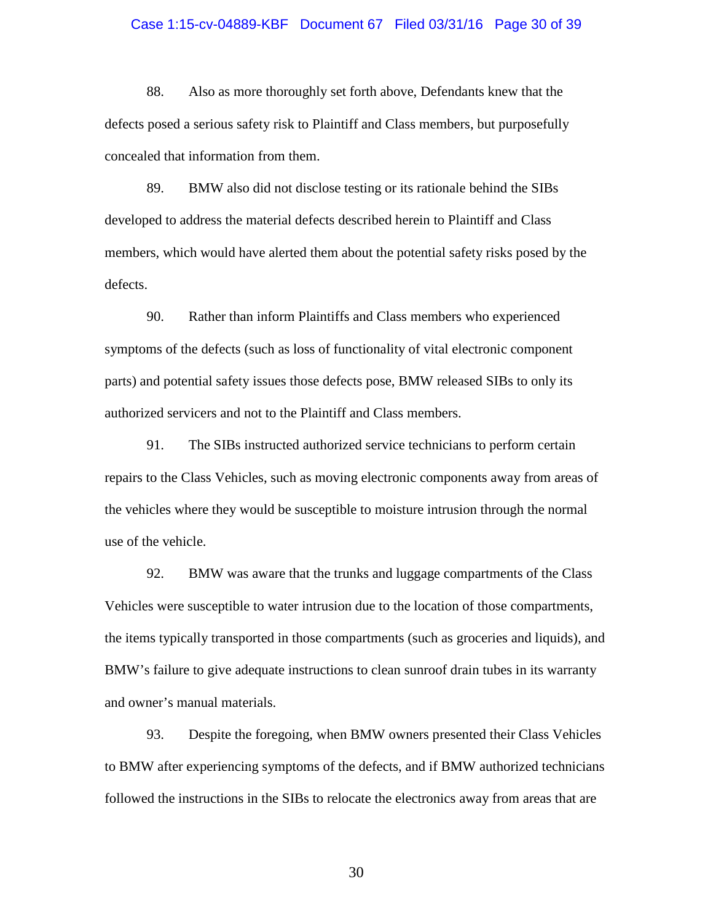#### Case 1:15-cv-04889-KBF Document 67 Filed 03/31/16 Page 30 of 39

88. Also as more thoroughly set forth above, Defendants knew that the defects posed a serious safety risk to Plaintiff and Class members, but purposefully concealed that information from them.

89. BMW also did not disclose testing or its rationale behind the SIBs developed to address the material defects described herein to Plaintiff and Class members, which would have alerted them about the potential safety risks posed by the defects.

90. Rather than inform Plaintiffs and Class members who experienced symptoms of the defects (such as loss of functionality of vital electronic component parts) and potential safety issues those defects pose, BMW released SIBs to only its authorized servicers and not to the Plaintiff and Class members.

91. The SIBs instructed authorized service technicians to perform certain repairs to the Class Vehicles, such as moving electronic components away from areas of the vehicles where they would be susceptible to moisture intrusion through the normal use of the vehicle.

92. BMW was aware that the trunks and luggage compartments of the Class Vehicles were susceptible to water intrusion due to the location of those compartments, the items typically transported in those compartments (such as groceries and liquids), and BMW's failure to give adequate instructions to clean sunroof drain tubes in its warranty and owner's manual materials.

93. Despite the foregoing, when BMW owners presented their Class Vehicles to BMW after experiencing symptoms of the defects, and if BMW authorized technicians followed the instructions in the SIBs to relocate the electronics away from areas that are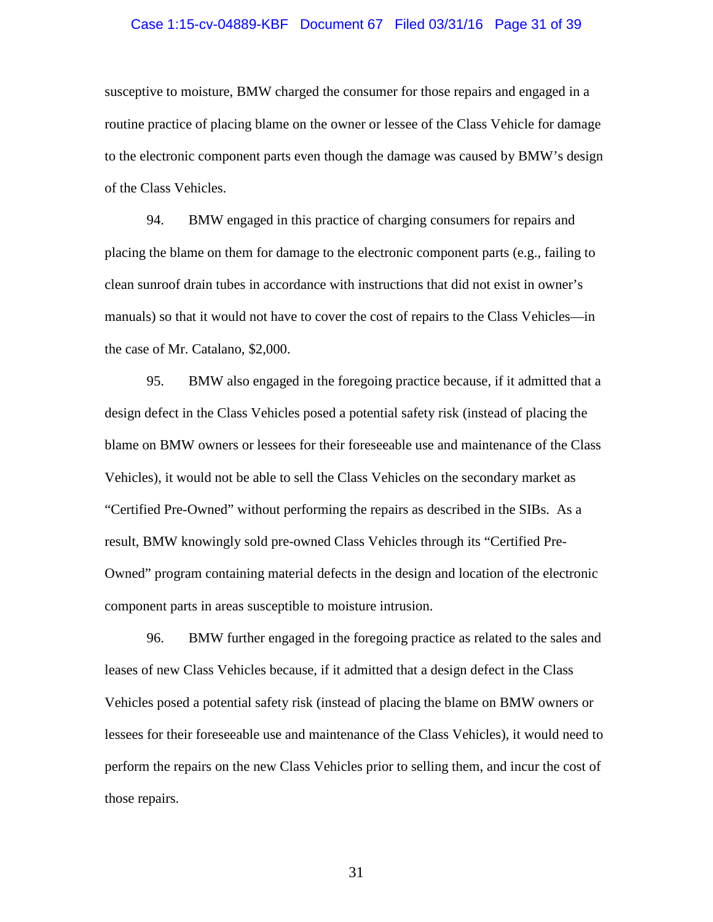#### Case 1:15-cv-04889-KBF Document 67 Filed 03/31/16 Page 31 of 39

susceptive to moisture, BMW charged the consumer for those repairs and engaged in a routine practice of placing blame on the owner or lessee of the Class Vehicle for damage to the electronic component parts even though the damage was caused by BMW's design of the Class Vehicles.

94. BMW engaged in this practice of charging consumers for repairs and placing the blame on them for damage to the electronic component parts (e.g., failing to clean sunroof drain tubes in accordance with instructions that did not exist in owner's manuals) so that it would not have to cover the cost of repairs to the Class Vehicles—in the case of Mr. Catalano, \$2,000.

95. BMW also engaged in the foregoing practice because, if it admitted that a design defect in the Class Vehicles posed a potential safety risk (instead of placing the blame on BMW owners or lessees for their foreseeable use and maintenance of the Class Vehicles), it would not be able to sell the Class Vehicles on the secondary market as "Certified Pre-Owned" without performing the repairs as described in the SIBs. As a result, BMW knowingly sold pre-owned Class Vehicles through its "Certified Pre-Owned" program containing material defects in the design and location of the electronic component parts in areas susceptible to moisture intrusion.

96. BMW further engaged in the foregoing practice as related to the sales and leases of new Class Vehicles because, if it admitted that a design defect in the Class Vehicles posed a potential safety risk (instead of placing the blame on BMW owners or lessees for their foreseeable use and maintenance of the Class Vehicles), it would need to perform the repairs on the new Class Vehicles prior to selling them, and incur the cost of those repairs.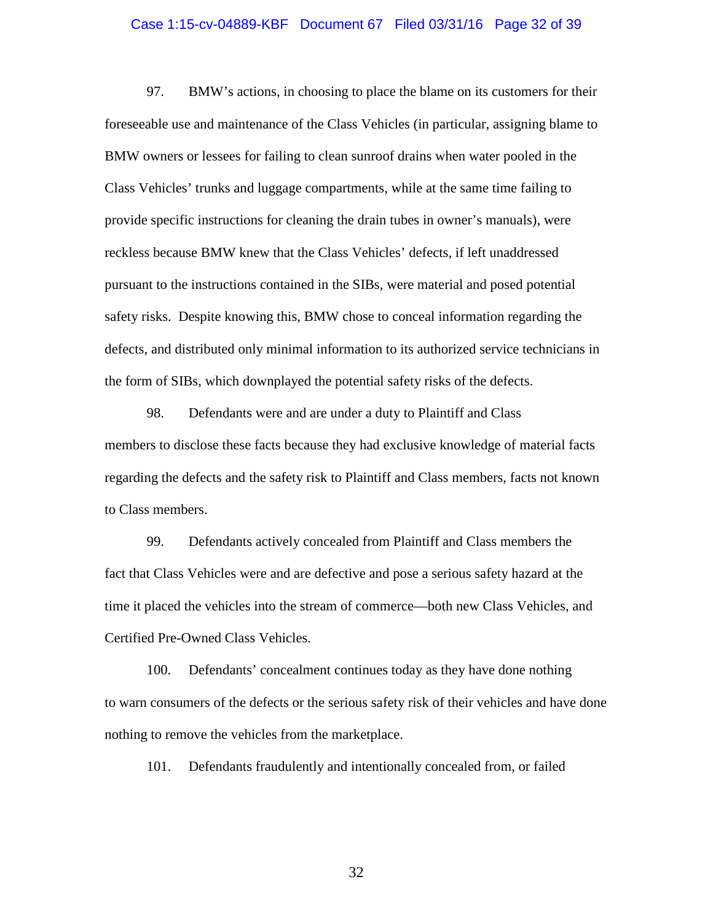#### Case 1:15-cv-04889-KBF Document 67 Filed 03/31/16 Page 32 of 39

97. BMW's actions, in choosing to place the blame on its customers for their foreseeable use and maintenance of the Class Vehicles (in particular, assigning blame to BMW owners or lessees for failing to clean sunroof drains when water pooled in the Class Vehicles' trunks and luggage compartments, while at the same time failing to provide specific instructions for cleaning the drain tubes in owner's manuals), were reckless because BMW knew that the Class Vehicles' defects, if left unaddressed pursuant to the instructions contained in the SIBs, were material and posed potential safety risks. Despite knowing this, BMW chose to conceal information regarding the defects, and distributed only minimal information to its authorized service technicians in the form of SIBs, which downplayed the potential safety risks of the defects.

98. Defendants were and are under a duty to Plaintiff and Class members to disclose these facts because they had exclusive knowledge of material facts regarding the defects and the safety risk to Plaintiff and Class members, facts not known to Class members.

99. Defendants actively concealed from Plaintiff and Class members the fact that Class Vehicles were and are defective and pose a serious safety hazard at the time it placed the vehicles into the stream of commerce—both new Class Vehicles, and Certified Pre-Owned Class Vehicles.

100. Defendants' concealment continues today as they have done nothing to warn consumers of the defects or the serious safety risk of their vehicles and have done nothing to remove the vehicles from the marketplace.

101. Defendants fraudulently and intentionally concealed from, or failed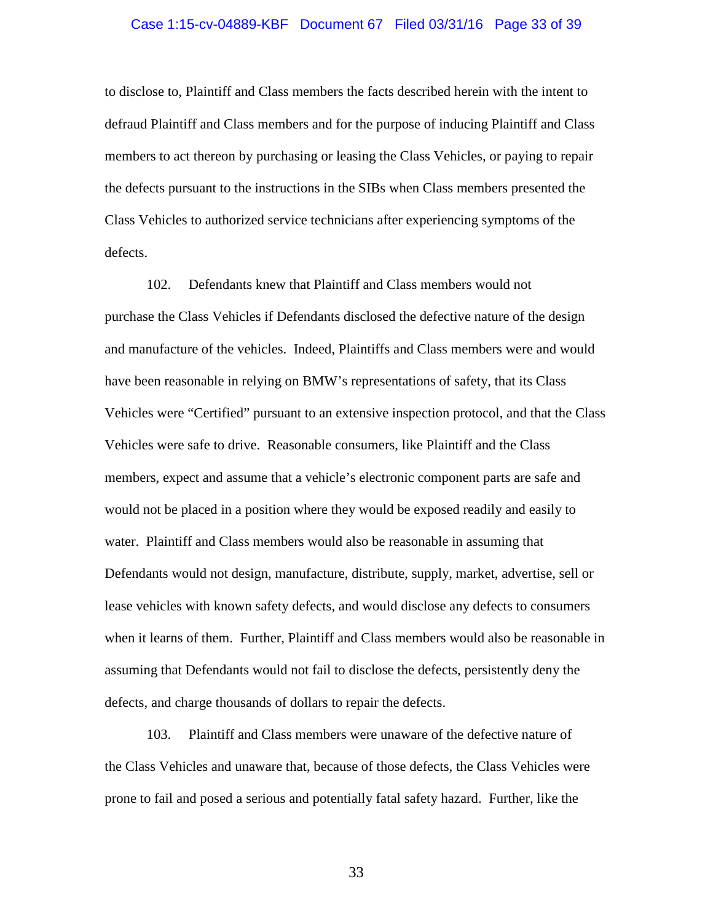#### Case 1:15-cv-04889-KBF Document 67 Filed 03/31/16 Page 33 of 39

to disclose to, Plaintiff and Class members the facts described herein with the intent to defraud Plaintiff and Class members and for the purpose of inducing Plaintiff and Class members to act thereon by purchasing or leasing the Class Vehicles, or paying to repair the defects pursuant to the instructions in the SIBs when Class members presented the Class Vehicles to authorized service technicians after experiencing symptoms of the defects.

102. Defendants knew that Plaintiff and Class members would not purchase the Class Vehicles if Defendants disclosed the defective nature of the design and manufacture of the vehicles. Indeed, Plaintiffs and Class members were and would have been reasonable in relying on BMW's representations of safety, that its Class Vehicles were "Certified" pursuant to an extensive inspection protocol, and that the Class Vehicles were safe to drive. Reasonable consumers, like Plaintiff and the Class members, expect and assume that a vehicle's electronic component parts are safe and would not be placed in a position where they would be exposed readily and easily to water. Plaintiff and Class members would also be reasonable in assuming that Defendants would not design, manufacture, distribute, supply, market, advertise, sell or lease vehicles with known safety defects, and would disclose any defects to consumers when it learns of them. Further, Plaintiff and Class members would also be reasonable in assuming that Defendants would not fail to disclose the defects, persistently deny the defects, and charge thousands of dollars to repair the defects.

103. Plaintiff and Class members were unaware of the defective nature of the Class Vehicles and unaware that, because of those defects, the Class Vehicles were prone to fail and posed a serious and potentially fatal safety hazard. Further, like the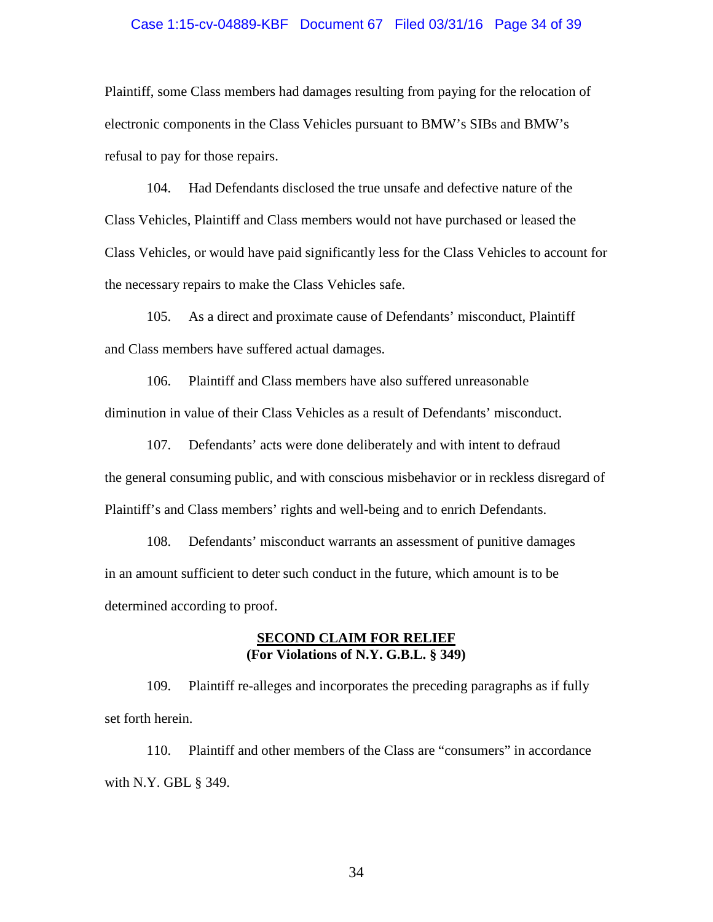## Case 1:15-cv-04889-KBF Document 67 Filed 03/31/16 Page 34 of 39

Plaintiff, some Class members had damages resulting from paying for the relocation of electronic components in the Class Vehicles pursuant to BMW's SIBs and BMW's refusal to pay for those repairs.

104. Had Defendants disclosed the true unsafe and defective nature of the Class Vehicles, Plaintiff and Class members would not have purchased or leased the Class Vehicles, or would have paid significantly less for the Class Vehicles to account for the necessary repairs to make the Class Vehicles safe.

105. As a direct and proximate cause of Defendants' misconduct, Plaintiff and Class members have suffered actual damages.

106. Plaintiff and Class members have also suffered unreasonable diminution in value of their Class Vehicles as a result of Defendants' misconduct.

107. Defendants' acts were done deliberately and with intent to defraud the general consuming public, and with conscious misbehavior or in reckless disregard of Plaintiff's and Class members' rights and well-being and to enrich Defendants.

108. Defendants' misconduct warrants an assessment of punitive damages in an amount sufficient to deter such conduct in the future, which amount is to be determined according to proof.

## **SECOND CLAIM FOR RELIEF (For Violations of N.Y. G.B.L. § 349)**

109. Plaintiff re-alleges and incorporates the preceding paragraphs as if fully set forth herein.

110. Plaintiff and other members of the Class are "consumers" in accordance with N.Y. GBL § 349.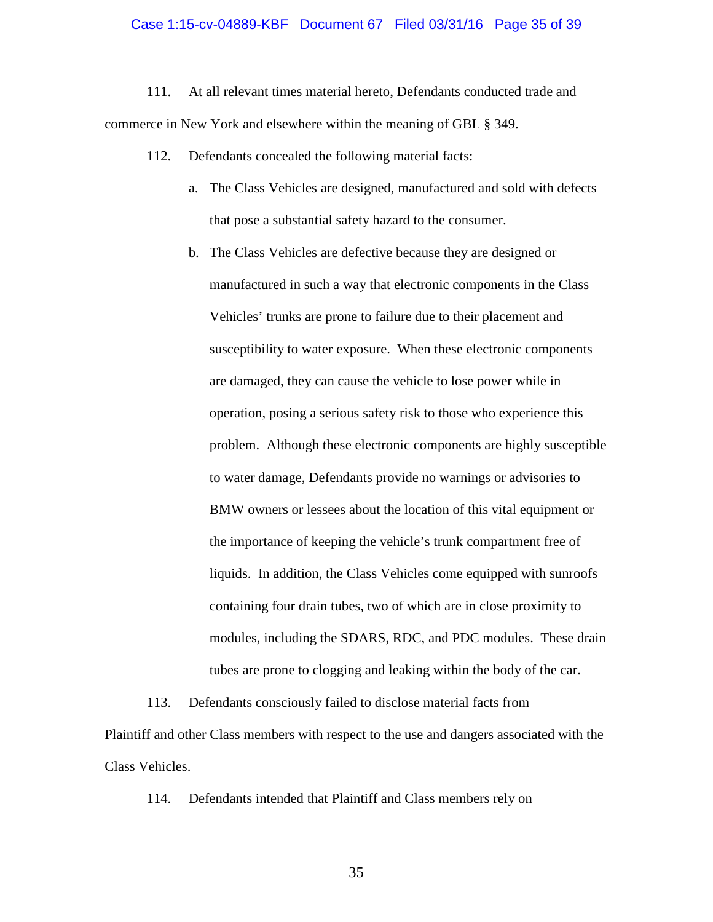### Case 1:15-cv-04889-KBF Document 67 Filed 03/31/16 Page 35 of 39

111. At all relevant times material hereto, Defendants conducted trade and commerce in New York and elsewhere within the meaning of GBL § 349.

- 112. Defendants concealed the following material facts:
	- a. The Class Vehicles are designed, manufactured and sold with defects that pose a substantial safety hazard to the consumer.
	- b. The Class Vehicles are defective because they are designed or manufactured in such a way that electronic components in the Class Vehicles' trunks are prone to failure due to their placement and susceptibility to water exposure. When these electronic components are damaged, they can cause the vehicle to lose power while in operation, posing a serious safety risk to those who experience this problem. Although these electronic components are highly susceptible to water damage, Defendants provide no warnings or advisories to BMW owners or lessees about the location of this vital equipment or the importance of keeping the vehicle's trunk compartment free of liquids. In addition, the Class Vehicles come equipped with sunroofs containing four drain tubes, two of which are in close proximity to modules, including the SDARS, RDC, and PDC modules. These drain tubes are prone to clogging and leaking within the body of the car.

113. Defendants consciously failed to disclose material facts from Plaintiff and other Class members with respect to the use and dangers associated with the Class Vehicles.

114. Defendants intended that Plaintiff and Class members rely on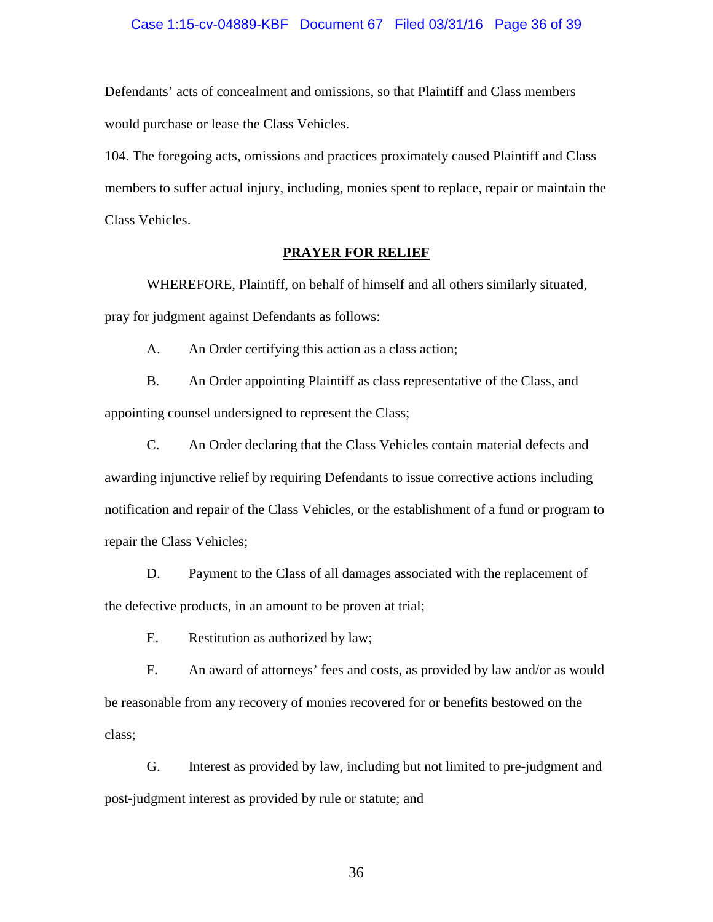## Case 1:15-cv-04889-KBF Document 67 Filed 03/31/16 Page 36 of 39

Defendants' acts of concealment and omissions, so that Plaintiff and Class members would purchase or lease the Class Vehicles.

104. The foregoing acts, omissions and practices proximately caused Plaintiff and Class members to suffer actual injury, including, monies spent to replace, repair or maintain the Class Vehicles.

## **PRAYER FOR RELIEF**

WHEREFORE, Plaintiff, on behalf of himself and all others similarly situated, pray for judgment against Defendants as follows:

A. An Order certifying this action as a class action;

B. An Order appointing Plaintiff as class representative of the Class, and appointing counsel undersigned to represent the Class;

C. An Order declaring that the Class Vehicles contain material defects and awarding injunctive relief by requiring Defendants to issue corrective actions including notification and repair of the Class Vehicles, or the establishment of a fund or program to repair the Class Vehicles;

D. Payment to the Class of all damages associated with the replacement of the defective products, in an amount to be proven at trial;

E. Restitution as authorized by law;

F. An award of attorneys' fees and costs, as provided by law and/or as would be reasonable from any recovery of monies recovered for or benefits bestowed on the class;

G. Interest as provided by law, including but not limited to pre-judgment and post-judgment interest as provided by rule or statute; and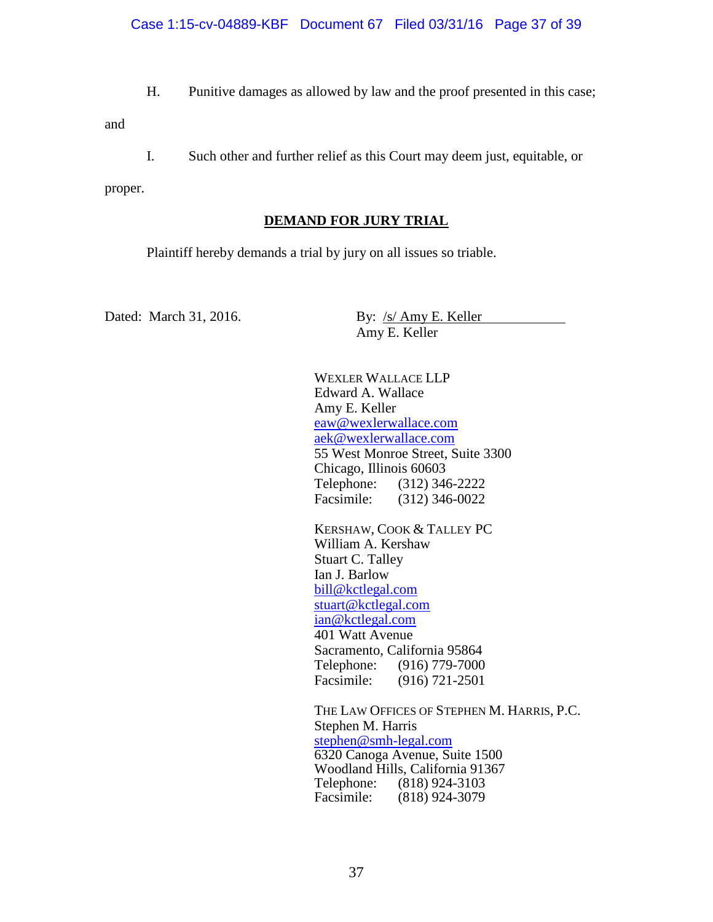H. Punitive damages as allowed by law and the proof presented in this case;

and

I. Such other and further relief as this Court may deem just, equitable, or

proper.

## **DEMAND FOR JURY TRIAL**

Plaintiff hereby demands a trial by jury on all issues so triable.

Dated: March 31, 2016. By: /s/ Amy E. Keller

Amy E. Keller

WEXLER WALLACE LLP Edward A. Wallace Amy E. Keller eaw@wexlerwallace.com aek@wexlerwallace.com 55 West Monroe Street, Suite 3300 Chicago, Illinois 60603 Telephone: (312) 346-2222 Facsimile: (312) 346-0022

KERSHAW, COOK & TALLEY PC William A. Kershaw Stuart C. Talley Ian J. Barlow bill@kctlegal.com stuart@kctlegal.com ian@kctlegal.com 401 Watt Avenue Sacramento, California 95864 Telephone: (916) 779-7000 Facsimile: (916) 721-2501

THE LAW OFFICES OF STEPHEN M. HARRIS, P.C. Stephen M. Harris stephen@smh-legal.com 6320 Canoga Avenue, Suite 1500 Woodland Hills, California 91367<br>Telephone: (818) 924-3103 Telephone: (818) 924-3103<br>Facsimile: (818) 924-3079 Facsimile: (818) 924-3079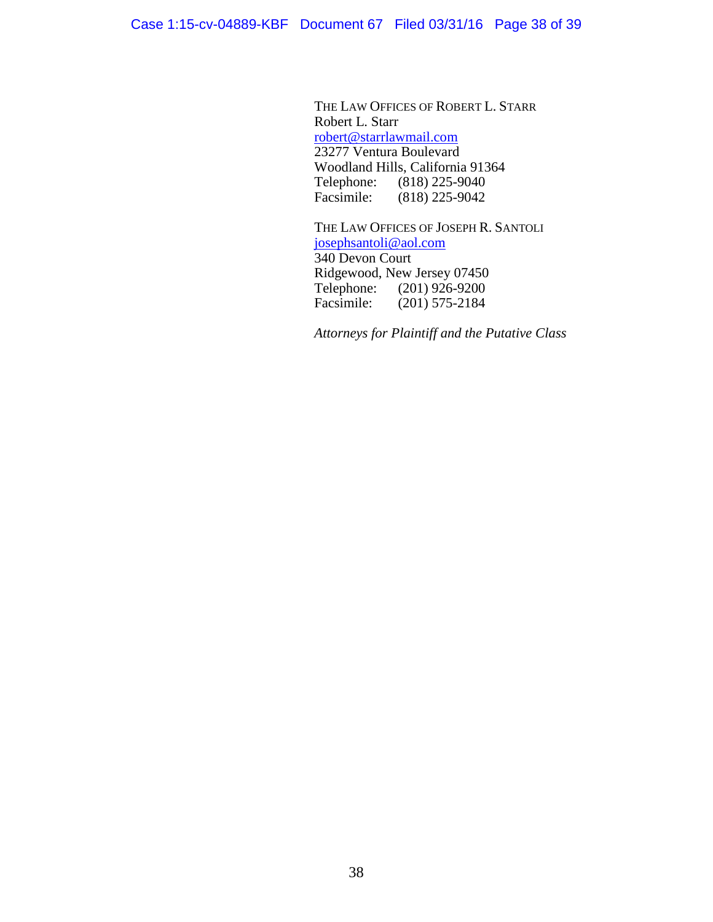THE LAW OFFICES OF ROBERT L. STARR Robert L. Starr robert@starrlawmail.com 23277 Ventura Boulevard Woodland Hills, California 91364 Telephone: (818) 225-9040<br>Facsimile: (818) 225-9042  $(818)$  225-9042

THE LAW OFFICES OF JOSEPH R. SANTOLI josephsantoli@aol.com 340 Devon Court Ridgewood, New Jersey 07450<br>Telephone: (201) 926-9200 Telephone: (201) 926-9200<br>Facsimile: (201) 575-2184  $(201)$  575-2184

*Attorneys for Plaintiff and the Putative Class*